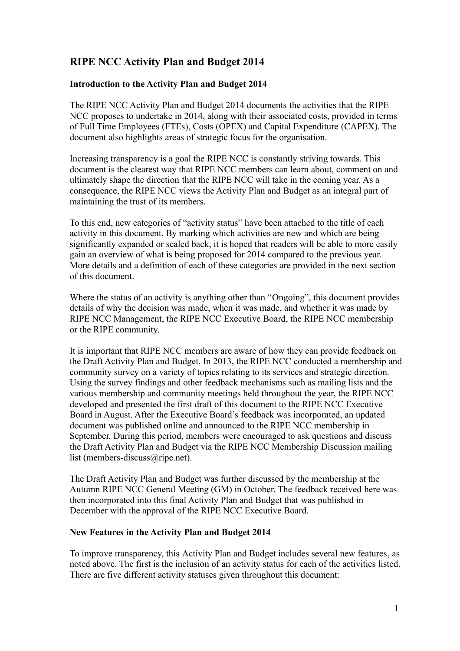# **RIPE NCC Activity Plan and Budget 2014**

### **Introduction to the Activity Plan and Budget 2014**

The RIPE NCC Activity Plan and Budget 2014 documents the activities that the RIPE NCC proposes to undertake in 2014, along with their associated costs, provided in terms of Full Time Employees (FTEs), Costs (OPEX) and Capital Expenditure (CAPEX). The document also highlights areas of strategic focus for the organisation.

Increasing transparency is a goal the RIPE NCC is constantly striving towards. This document is the clearest way that RIPE NCC members can learn about, comment on and ultimately shape the direction that the RIPE NCC will take in the coming year. As a consequence, the RIPE NCC views the Activity Plan and Budget as an integral part of maintaining the trust of its members.

To this end, new categories of "activity status" have been attached to the title of each activity in this document. By marking which activities are new and which are being significantly expanded or scaled back, it is hoped that readers will be able to more easily gain an overview of what is being proposed for 2014 compared to the previous year. More details and a definition of each of these categories are provided in the next section of this document.

Where the status of an activity is anything other than "Ongoing", this document provides details of why the decision was made, when it was made, and whether it was made by RIPE NCC Management, the RIPE NCC Executive Board, the RIPE NCC membership or the RIPE community.

It is important that RIPE NCC members are aware of how they can provide feedback on the Draft Activity Plan and Budget. In 2013, the RIPE NCC conducted a membership and community survey on a variety of topics relating to its services and strategic direction. Using the survey findings and other feedback mechanisms such as mailing lists and the various membership and community meetings held throughout the year, the RIPE NCC developed and presented the first draft of this document to the RIPE NCC Executive Board in August. After the Executive Board's feedback was incorporated, an updated document was published online and announced to the RIPE NCC membership in September. During this period, members were encouraged to ask questions and discuss the Draft Activity Plan and Budget via the RIPE NCC Membership Discussion mailing list (members-discuss@ripe.net).

The Draft Activity Plan and Budget was further discussed by the membership at the Autumn RIPE NCC General Meeting (GM) in October. The feedback received here was then incorporated into this final Activity Plan and Budget that was published in December with the approval of the RIPE NCC Executive Board.

#### **New Features in the Activity Plan and Budget 2014**

To improve transparency, this Activity Plan and Budget includes several new features, as noted above. The first is the inclusion of an activity status for each of the activities listed. There are five different activity statuses given throughout this document: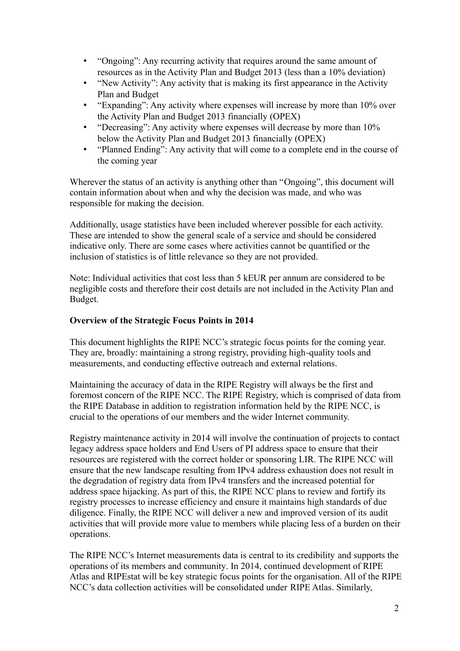- "Ongoing": Any recurring activity that requires around the same amount of resources as in the Activity Plan and Budget 2013 (less than a 10% deviation)
- "New Activity": Any activity that is making its first appearance in the Activity Plan and Budget
- "Expanding": Any activity where expenses will increase by more than 10% over the Activity Plan and Budget 2013 financially (OPEX)
- "Decreasing": Any activity where expenses will decrease by more than 10% below the Activity Plan and Budget 2013 financially (OPEX)
- "Planned Ending": Any activity that will come to a complete end in the course of the coming year

Wherever the status of an activity is anything other than "Ongoing", this document will contain information about when and why the decision was made, and who was responsible for making the decision.

Additionally, usage statistics have been included wherever possible for each activity. These are intended to show the general scale of a service and should be considered indicative only. There are some cases where activities cannot be quantified or the inclusion of statistics is of little relevance so they are not provided.

Note: Individual activities that cost less than 5 kEUR per annum are considered to be negligible costs and therefore their cost details are not included in the Activity Plan and Budget.

### **Overview of the Strategic Focus Points in 2014**

This document highlights the RIPE NCC's strategic focus points for the coming year. They are, broadly: maintaining a strong registry, providing high-quality tools and measurements, and conducting effective outreach and external relations.

Maintaining the accuracy of data in the RIPE Registry will always be the first and foremost concern of the RIPE NCC. The RIPE Registry, which is comprised of data from the RIPE Database in addition to registration information held by the RIPE NCC, is crucial to the operations of our members and the wider Internet community.

Registry maintenance activity in 2014 will involve the continuation of projects to contact legacy address space holders and End Users of PI address space to ensure that their resources are registered with the correct holder or sponsoring LIR. The RIPE NCC will ensure that the new landscape resulting from IPv4 address exhaustion does not result in the degradation of registry data from IPv4 transfers and the increased potential for address space hijacking. As part of this, the RIPE NCC plans to review and fortify its registry processes to increase efficiency and ensure it maintains high standards of due diligence. Finally, the RIPE NCC will deliver a new and improved version of its audit activities that will provide more value to members while placing less of a burden on their operations.

The RIPE NCC's Internet measurements data is central to its credibility and supports the operations of its members and community. In 2014, continued development of RIPE Atlas and RIPEstat will be key strategic focus points for the organisation. All of the RIPE NCC's data collection activities will be consolidated under RIPE Atlas. Similarly,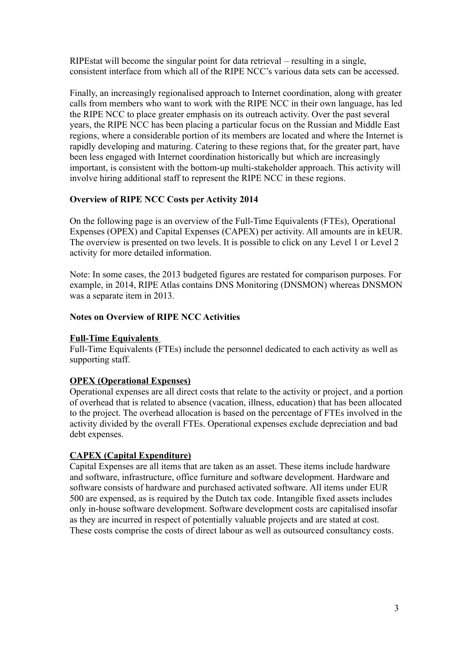RIPEstat will become the singular point for data retrieval – resulting in a single, consistent interface from which all of the RIPE NCC's various data sets can be accessed.

Finally, an increasingly regionalised approach to Internet coordination, along with greater calls from members who want to work with the RIPE NCC in their own language, has led the RIPE NCC to place greater emphasis on its outreach activity. Over the past several years, the RIPE NCC has been placing a particular focus on the Russian and Middle East regions, where a considerable portion of its members are located and where the Internet is rapidly developing and maturing. Catering to these regions that, for the greater part, have been less engaged with Internet coordination historically but which are increasingly important, is consistent with the bottom-up multi-stakeholder approach. This activity will involve hiring additional staff to represent the RIPE NCC in these regions.

#### **Overview of RIPE NCC Costs per Activity 2014**

On the following page is an overview of the Full-Time Equivalents (FTEs), Operational Expenses (OPEX) and Capital Expenses (CAPEX) per activity. All amounts are in kEUR. The overview is presented on two levels. It is possible to click on any Level 1 or Level 2 activity for more detailed information.

Note: In some cases, the 2013 budgeted figures are restated for comparison purposes. For example, in 2014, RIPE Atlas contains DNS Monitoring (DNSMON) whereas DNSMON was a separate item in 2013.

#### **Notes on Overview of RIPE NCC Activities**

#### **Full-Time Equivalents**

Full-Time Equivalents (FTEs) include the personnel dedicated to each activity as well as supporting staff.

#### **OPEX (Operational Expenses)**

Operational expenses are all direct costs that relate to the activity or project, and a portion of overhead that is related to absence (vacation, illness, education) that has been allocated to the project. The overhead allocation is based on the percentage of FTEs involved in the activity divided by the overall FTEs. Operational expenses exclude depreciation and bad debt expenses.

#### **CAPEX (Capital Expenditure)**

Capital Expenses are all items that are taken as an asset. These items include hardware and software, infrastructure, office furniture and software development. Hardware and software consists of hardware and purchased activated software. All items under EUR 500 are expensed, as is required by the Dutch tax code. Intangible fixed assets includes only in-house software development. Software development costs are capitalised insofar as they are incurred in respect of potentially valuable projects and are stated at cost. These costs comprise the costs of direct labour as well as outsourced consultancy costs.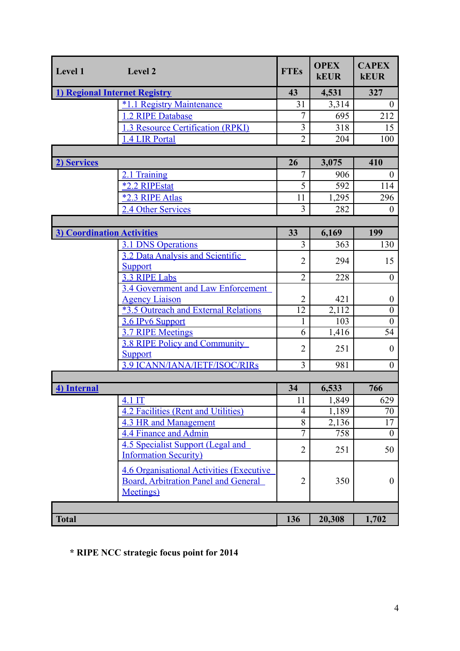| Level 1                           | Level 2                                                                                                              | <b>FTEs</b>         | <b>OPEX</b><br><b>kEUR</b> | <b>CAPEX</b><br><b>kEUR</b> |
|-----------------------------------|----------------------------------------------------------------------------------------------------------------------|---------------------|----------------------------|-----------------------------|
|                                   | 1) Regional Internet Registry                                                                                        | 43                  | 4,531                      | 327                         |
|                                   | $*1.1$<br><b>Registry Maintenance</b>                                                                                | 31                  | 3,314                      | $\boldsymbol{0}$            |
|                                   | 1.2 RIPE Database                                                                                                    | $\overline{7}$      | 695                        | 212                         |
|                                   | 1.3 Resource Certification (RPKI)                                                                                    | 3                   | 318                        | 15                          |
|                                   | 1.4 LIR Portal                                                                                                       | $\overline{2}$      | 204                        | 100                         |
|                                   |                                                                                                                      |                     |                            |                             |
| 2) Services                       |                                                                                                                      | 26                  | 3,075                      | 410                         |
|                                   | 2.1 Training                                                                                                         | $\overline{7}$      | 906                        | $\boldsymbol{0}$            |
|                                   | <b>*2.2 RIPEstat</b>                                                                                                 | $\overline{5}$      | 592                        | 114                         |
|                                   | *2.3 RIPE Atlas                                                                                                      | 11                  | 1,295                      | 296                         |
|                                   | 2.4 Other Services                                                                                                   | $\overline{3}$      | 282                        | $\theta$                    |
|                                   |                                                                                                                      |                     |                            |                             |
| <b>3) Coordination Activities</b> |                                                                                                                      | 33                  | 6,169                      | 199                         |
|                                   | <b>3.1 DNS Operations</b>                                                                                            | 3                   | 363                        | 130                         |
|                                   | 3.2 Data Analysis and Scientific                                                                                     | $\overline{2}$      | 294                        | 15                          |
|                                   | <b>Support</b><br>3.3 RIPE Labs                                                                                      | $\overline{2}$      | 228                        | $\theta$                    |
|                                   | 3.4 Government and Law Enforcement                                                                                   |                     |                            |                             |
|                                   | <b>Agency Liaison</b>                                                                                                | $\overline{2}$      | 421                        | $\boldsymbol{0}$            |
|                                   | <b>*3.5 Outreach and External Relations</b>                                                                          | 12                  | 2,112                      | $\boldsymbol{0}$            |
|                                   | 3.6 IPv6 Support                                                                                                     | 1                   | 103                        | $\theta$                    |
|                                   | <b>3.7 RIPE Meetings</b>                                                                                             | 6                   | 1,416                      | 54                          |
|                                   | <b>3.8 RIPE Policy and Community</b>                                                                                 | $\overline{2}$      | 251                        | $\boldsymbol{0}$            |
|                                   | <b>Support</b>                                                                                                       |                     |                            |                             |
|                                   | <b>3.9 ICANN/IANA/IETF/ISOC/RIRS</b>                                                                                 | 3                   | 981                        | $\overline{0}$              |
|                                   |                                                                                                                      |                     |                            |                             |
| 4) Internal                       |                                                                                                                      | 34                  | 6,533                      | 766                         |
|                                   | $4.1$ IT                                                                                                             | 11                  | 1,849                      | 629                         |
|                                   | <b>4.2 Facilities (Rent and Utilities)</b>                                                                           | $\overline{4}$<br>8 | 1,189                      | 70<br>17                    |
|                                   | <b>4.3 HR and Management</b><br>4.4 Finance and Admin                                                                | $\overline{7}$      | 2,136<br>758               | $\theta$                    |
|                                   | 4.5 Specialist Support (Legal and                                                                                    |                     |                            |                             |
|                                   | <b>Information Security)</b>                                                                                         | $\overline{2}$      | 251                        | 50                          |
|                                   | <b>4.6 Organisational Activities (Executive)</b><br><b>Board, Arbitration Panel and General</b><br><b>Meetings</b> ) | $\overline{2}$      | 350                        | $\mathbf{0}$                |
| <b>Total</b>                      |                                                                                                                      | 136                 | 20,308                     |                             |
|                                   |                                                                                                                      |                     |                            | 1,702                       |

**\* RIPE NCC strategic focus point for 2014**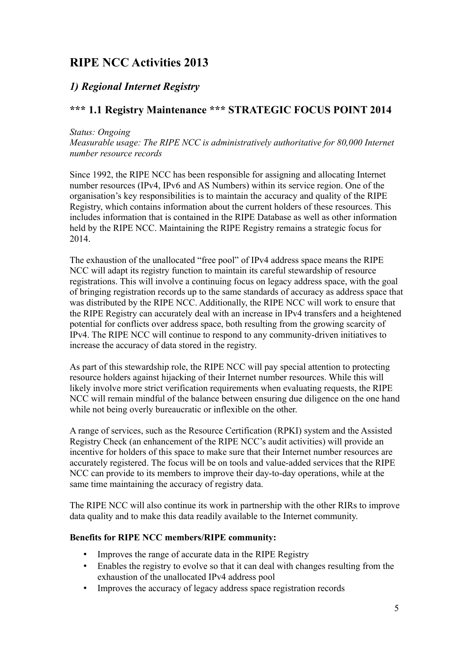# **RIPE NCC Activities 2013**

# <span id="page-4-1"></span>*1) Regional Internet Registry*

# <span id="page-4-0"></span>**\*\*\* 1.1 Registry Maintenance \*\*\* STRATEGIC FOCUS POINT 2014**

#### *Status: Ongoing*

*Measurable usage: The RIPE NCC is administratively authoritative for 80,000 Internet number resource records*

Since 1992, the RIPE NCC has been responsible for assigning and allocating Internet number resources (IPv4, IPv6 and AS Numbers) within its service region. One of the organisation's key responsibilities is to maintain the accuracy and quality of the RIPE Registry, which contains information about the current holders of these resources. This includes information that is contained in the RIPE Database as well as other information held by the RIPE NCC. Maintaining the RIPE Registry remains a strategic focus for 2014.

The exhaustion of the unallocated "free pool" of IPv4 address space means the RIPE NCC will adapt its registry function to maintain its careful stewardship of resource registrations. This will involve a continuing focus on legacy address space, with the goal of bringing registration records up to the same standards of accuracy as address space that was distributed by the RIPE NCC. Additionally, the RIPE NCC will work to ensure that the RIPE Registry can accurately deal with an increase in IPv4 transfers and a heightened potential for conflicts over address space, both resulting from the growing scarcity of IPv4. The RIPE NCC will continue to respond to any community-driven initiatives to increase the accuracy of data stored in the registry.

As part of this stewardship role, the RIPE NCC will pay special attention to protecting resource holders against hijacking of their Internet number resources. While this will likely involve more strict verification requirements when evaluating requests, the RIPE NCC will remain mindful of the balance between ensuring due diligence on the one hand while not being overly bureaucratic or inflexible on the other.

A range of services, such as the Resource Certification (RPKI) system and the Assisted Registry Check (an enhancement of the RIPE NCC's audit activities) will provide an incentive for holders of this space to make sure that their Internet number resources are accurately registered. The focus will be on tools and value-added services that the RIPE NCC can provide to its members to improve their day-to-day operations, while at the same time maintaining the accuracy of registry data.

The RIPE NCC will also continue its work in partnership with the other RIRs to improve data quality and to make this data readily available to the Internet community.

- Improves the range of accurate data in the RIPE Registry
- Enables the registry to evolve so that it can deal with changes resulting from the exhaustion of the unallocated IPv4 address pool
- Improves the accuracy of legacy address space registration records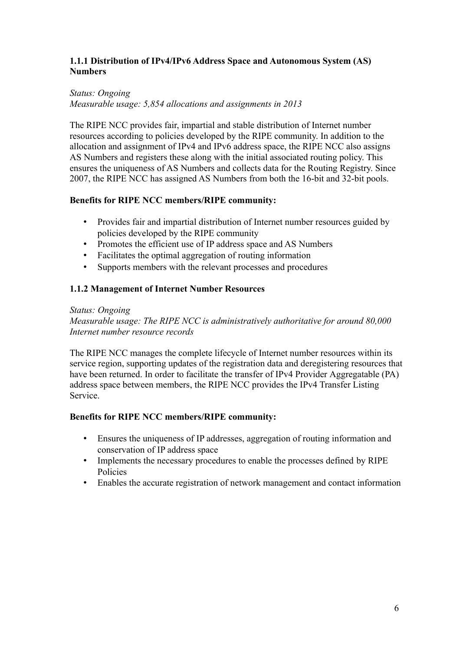### **1.1.1 Distribution of IPv4/IPv6 Address Space and Autonomous System (AS) Numbers**

## *Status: Ongoing*

*Measurable usage: 5,854 allocations and assignments in 2013*

The RIPE NCC provides fair, impartial and stable distribution of Internet number resources according to policies developed by the RIPE community. In addition to the allocation and assignment of IPv4 and IPv6 address space, the RIPE NCC also assigns AS Numbers and registers these along with the initial associated routing policy. This ensures the uniqueness of AS Numbers and collects data for the Routing Registry. Since 2007, the RIPE NCC has assigned AS Numbers from both the 16-bit and 32-bit pools.

## **Benefits for RIPE NCC members/RIPE community:**

- Provides fair and impartial distribution of Internet number resources guided by policies developed by the RIPE community
- Promotes the efficient use of IP address space and AS Numbers
- Facilitates the optimal aggregation of routing information
- Supports members with the relevant processes and procedures

## **1.1.2 Management of Internet Number Resources**

#### *Status: Ongoing*

*Measurable usage: The RIPE NCC is administratively authoritative for around 80,000 Internet number resource records* 

The RIPE NCC manages the complete lifecycle of Internet number resources within its service region, supporting updates of the registration data and deregistering resources that have been returned. In order to facilitate the transfer of IPv4 Provider Aggregatable (PA) address space between members, the RIPE NCC provides the IPv4 Transfer Listing Service.

- Ensures the uniqueness of IP addresses, aggregation of routing information and conservation of IP address space
- Implements the necessary procedures to enable the processes defined by RIPE Policies
- Enables the accurate registration of network management and contact information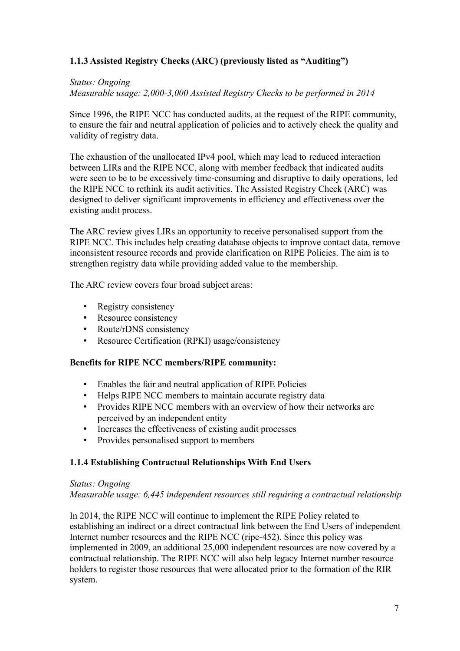## **1.1.3 Assisted Registry Checks (ARC) (previously listed as "Auditing")**

#### *Status: Ongoing*

*Measurable usage: 2,000-3,000 Assisted Registry Checks to be performed in 2014* 

Since 1996, the RIPE NCC has conducted audits, at the request of the RIPE community, to ensure the fair and neutral application of policies and to actively check the quality and validity of registry data.

The exhaustion of the unallocated IPv4 pool, which may lead to reduced interaction between LIRs and the RIPE NCC, along with member feedback that indicated audits were seen to be to be excessively time-consuming and disruptive to daily operations, led the RIPE NCC to rethink its audit activities. The Assisted Registry Check (ARC) was designed to deliver significant improvements in efficiency and effectiveness over the existing audit process.

The ARC review gives LIRs an opportunity to receive personalised support from the RIPE NCC. This includes help creating database objects to improve contact data, remove inconsistent resource records and provide clarification on RIPE Policies. The aim is to strengthen registry data while providing added value to the membership.

The ARC review covers four broad subject areas:

- Registry consistency
- Resource consistency
- Route/rDNS consistency
- Resource Certification (RPKI) usage/consistency

#### **Benefits for RIPE NCC members/RIPE community:**

- Enables the fair and neutral application of RIPE Policies
- Helps RIPE NCC members to maintain accurate registry data
- Provides RIPE NCC members with an overview of how their networks are perceived by an independent entity
- Increases the effectiveness of existing audit processes
- Provides personalised support to members

#### **1.1.4 Establishing Contractual Relationships With End Users**

#### *Status: Ongoing*

*Measurable usage: 6,445 independent resources still requiring a contractual relationship*

In 2014, the RIPE NCC will continue to implement the RIPE Policy related to establishing an indirect or a direct contractual link between the End Users of independent Internet number resources and the RIPE NCC (ripe-452). Since this policy was implemented in 2009, an additional 25,000 independent resources are now covered by a contractual relationship. The RIPE NCC will also help legacy Internet number resource holders to register those resources that were allocated prior to the formation of the RIR system.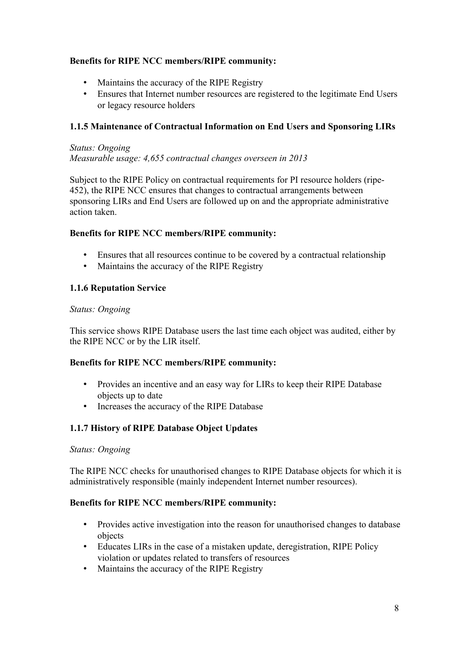### **Benefits for RIPE NCC members/RIPE community:**

- Maintains the accuracy of the RIPE Registry
- Ensures that Internet number resources are registered to the legitimate End Users or legacy resource holders

## **1.1.5 Maintenance of Contractual Information on End Users and Sponsoring LIRs**

#### *Status: Ongoing Measurable usage: 4,655 contractual changes overseen in 2013*

Subject to the RIPE Policy on contractual requirements for PI resource holders (ripe-452), the RIPE NCC ensures that changes to contractual arrangements between sponsoring LIRs and End Users are followed up on and the appropriate administrative action taken.

#### **Benefits for RIPE NCC members/RIPE community:**

- Ensures that all resources continue to be covered by a contractual relationship
- Maintains the accuracy of the RIPE Registry

#### **1.1.6 Reputation Service**

#### *Status: Ongoing*

This service shows RIPE Database users the last time each object was audited, either by the RIPE NCC or by the LIR itself.

#### **Benefits for RIPE NCC members/RIPE community:**

- Provides an incentive and an easy way for LIRs to keep their RIPE Database objects up to date
- Increases the accuracy of the RIPE Database

## **1.1.7 History of RIPE Database Object Updates**

#### *Status: Ongoing*

The RIPE NCC checks for unauthorised changes to RIPE Database objects for which it is administratively responsible (mainly independent Internet number resources).

- Provides active investigation into the reason for unauthorised changes to database objects
- Educates LIRs in the case of a mistaken update, deregistration, RIPE Policy violation or updates related to transfers of resources
- Maintains the accuracy of the RIPE Registry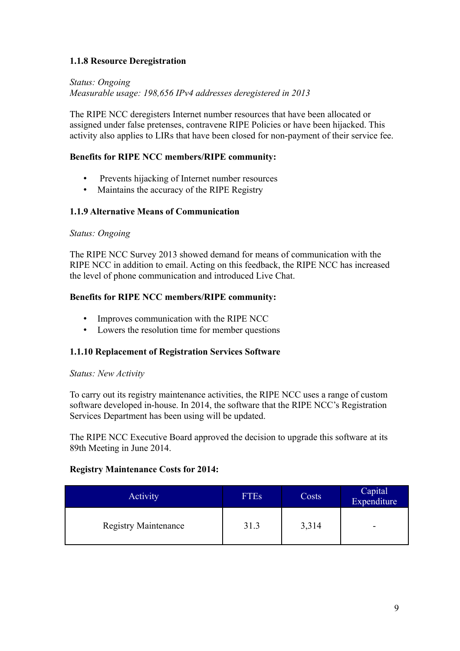### **1.1.8 Resource Deregistration**

*Status: Ongoing Measurable usage: 198,656 IPv4 addresses deregistered in 2013*

The RIPE NCC deregisters Internet number resources that have been allocated or assigned under false pretenses, contravene RIPE Policies or have been hijacked. This activity also applies to LIRs that have been closed for non-payment of their service fee.

#### **Benefits for RIPE NCC members/RIPE community:**

- Prevents hijacking of Internet number resources
- Maintains the accuracy of the RIPE Registry

#### **1.1.9 Alternative Means of Communication**

#### *Status: Ongoing*

The RIPE NCC Survey 2013 showed demand for means of communication with the RIPE NCC in addition to email. Acting on this feedback, the RIPE NCC has increased the level of phone communication and introduced Live Chat.

#### **Benefits for RIPE NCC members/RIPE community:**

- Improves communication with the RIPE NCC
- Lowers the resolution time for member questions

#### <span id="page-8-0"></span>**1.1.10 Replacement of Registration Services Software**

#### *Status: New Activity*

To carry out its registry maintenance activities, the RIPE NCC uses a range of custom software developed in-house. In 2014, the software that the RIPE NCC's Registration Services Department has been using will be updated.

The RIPE NCC Executive Board approved the decision to upgrade this software at its 89th Meeting in June 2014.

#### **Registry Maintenance Costs for 2014:**

| <b>Activity</b>             | <b>FTEs</b> | Costs | Capital<br>Expenditure |
|-----------------------------|-------------|-------|------------------------|
| <b>Registry Maintenance</b> | 31.3        | 3,314 | -                      |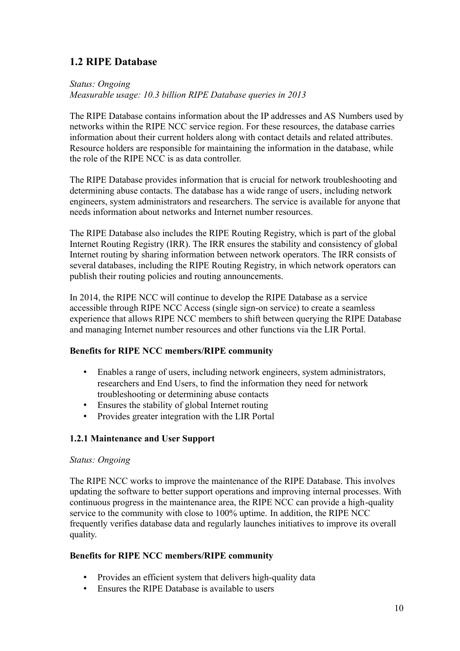# <span id="page-9-0"></span>**1.2 RIPE Database**

*Status: Ongoing Measurable usage: 10.3 billion RIPE Database queries in 2013*

The RIPE Database contains information about the IP addresses and AS Numbers used by networks within the RIPE NCC service region. For these resources, the database carries information about their current holders along with contact details and related attributes. Resource holders are responsible for maintaining the information in the database, while the role of the RIPE NCC is as data controller.

The RIPE Database provides information that is crucial for network troubleshooting and determining abuse contacts. The database has a wide range of users, including network engineers, system administrators and researchers. The service is available for anyone that needs information about networks and Internet number resources.

The RIPE Database also includes the RIPE Routing Registry, which is part of the global Internet Routing Registry (IRR). The IRR ensures the stability and consistency of global Internet routing by sharing information between network operators. The IRR consists of several databases, including the RIPE Routing Registry, in which network operators can publish their routing policies and routing announcements.

In 2014, the RIPE NCC will continue to develop the RIPE Database as a service accessible through RIPE NCC Access (single sign-on service) to create a seamless experience that allows RIPE NCC members to shift between querying the RIPE Database and managing Internet number resources and other functions via the LIR Portal.

#### **Benefits for RIPE NCC members/RIPE community**

- Enables a range of users, including network engineers, system administrators, researchers and End Users, to find the information they need for network troubleshooting or determining abuse contacts
- Ensures the stability of global Internet routing
- Provides greater integration with the LIR Portal

#### **1.2.1 Maintenance and User Support**

#### *Status: Ongoing*

The RIPE NCC works to improve the maintenance of the RIPE Database. This involves updating the software to better support operations and improving internal processes. With continuous progress in the maintenance area, the RIPE NCC can provide a high-quality service to the community with close to 100% uptime. In addition, the RIPE NCC frequently verifies database data and regularly launches initiatives to improve its overall quality.

- Provides an efficient system that delivers high-quality data
- Ensures the RIPE Database is available to users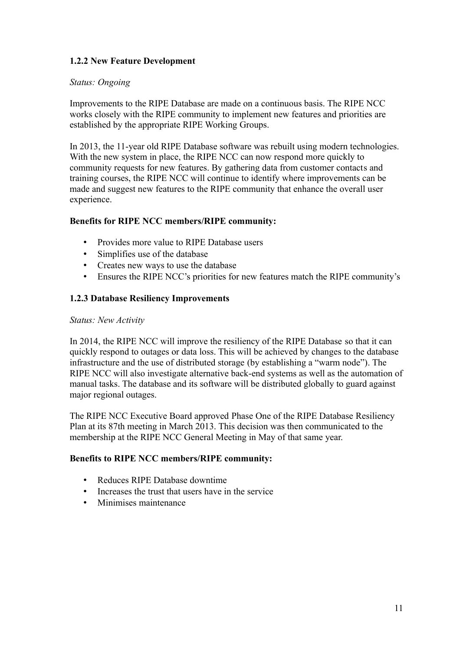## **1.2.2 New Feature Development**

#### *Status: Ongoing*

Improvements to the RIPE Database are made on a continuous basis. The RIPE NCC works closely with the RIPE community to implement new features and priorities are established by the appropriate RIPE Working Groups.

In 2013, the 11-year old RIPE Database software was rebuilt using modern technologies. With the new system in place, the RIPE NCC can now respond more quickly to community requests for new features. By gathering data from customer contacts and training courses, the RIPE NCC will continue to identify where improvements can be made and suggest new features to the RIPE community that enhance the overall user experience.

#### **Benefits for RIPE NCC members/RIPE community:**

- Provides more value to RIPE Database users
- Simplifies use of the database
- Creates new ways to use the database
- Ensures the RIPE NCC's priorities for new features match the RIPE community's

#### <span id="page-10-0"></span>**1.2.3 Database Resiliency Improvements**

#### *Status: New Activity*

In 2014, the RIPE NCC will improve the resiliency of the RIPE Database so that it can quickly respond to outages or data loss. This will be achieved by changes to the database infrastructure and the use of distributed storage (by establishing a "warm node"). The RIPE NCC will also investigate alternative back-end systems as well as the automation of manual tasks. The database and its software will be distributed globally to guard against major regional outages.

The RIPE NCC Executive Board approved Phase One of the RIPE Database Resiliency Plan at its 87th meeting in March 2013. This decision was then communicated to the membership at the RIPE NCC General Meeting in May of that same year.

- Reduces RIPE Database downtime
- Increases the trust that users have in the service
- Minimises maintenance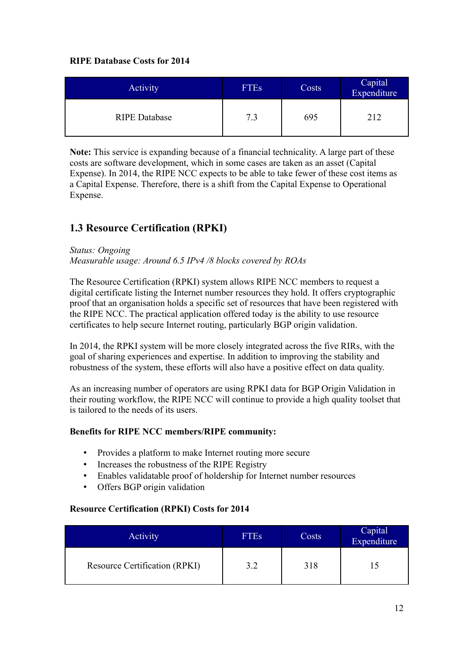### **RIPE Database Costs for 2014**

| Activity             | <b>FTEs</b> | Costs | Capital<br>Expenditure |
|----------------------|-------------|-------|------------------------|
| <b>RIPE Database</b> | 7.3         | 695   | 212                    |

**Note:** This service is expanding because of a financial technicality. A large part of these costs are software development, which in some cases are taken as an asset (Capital Expense). In 2014, the RIPE NCC expects to be able to take fewer of these cost items as a Capital Expense. Therefore, there is a shift from the Capital Expense to Operational Expense.

# <span id="page-11-0"></span>**1.3 Resource Certification (RPKI)**

#### *Status: Ongoing*

*Measurable usage: Around 6.5 IPv4 /8 blocks covered by ROAs*

The Resource Certification (RPKI) system allows RIPE NCC members to request a digital certificate listing the Internet number resources they hold. It offers cryptographic proof that an organisation holds a specific set of resources that have been registered with the RIPE NCC. The practical application offered today is the ability to use resource certificates to help secure Internet routing, particularly BGP origin validation.

In 2014, the RPKI system will be more closely integrated across the five RIRs, with the goal of sharing experiences and expertise. In addition to improving the stability and robustness of the system, these efforts will also have a positive effect on data quality.

As an increasing number of operators are using RPKI data for BGP Origin Validation in their routing workflow, the RIPE NCC will continue to provide a high quality toolset that is tailored to the needs of its users.

#### **Benefits for RIPE NCC members/RIPE community:**

- Provides a platform to make Internet routing more secure
- Increases the robustness of the RIPE Registry
- Enables validatable proof of holdership for Internet number resources
- Offers BGP origin validation

## **Resource Certification (RPKI) Costs for 2014**

| Activity                             | <b>FTEs</b> | Costs | Capital<br>Expenditure |
|--------------------------------------|-------------|-------|------------------------|
| <b>Resource Certification (RPKI)</b> | 3.2         | 318   |                        |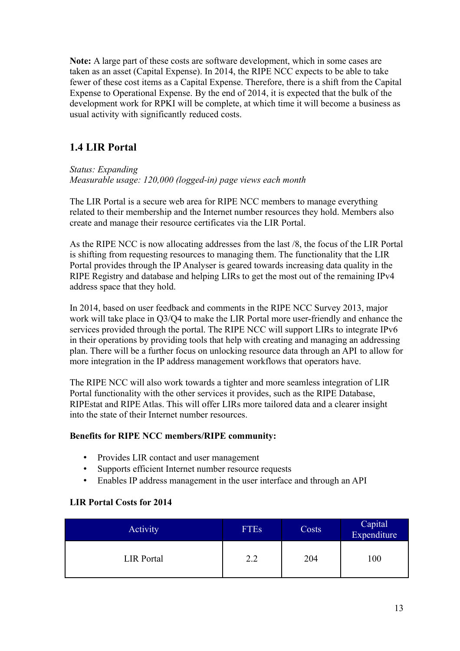**Note:** A large part of these costs are software development, which in some cases are taken as an asset (Capital Expense). In 2014, the RIPE NCC expects to be able to take fewer of these cost items as a Capital Expense. Therefore, there is a shift from the Capital Expense to Operational Expense. By the end of 2014, it is expected that the bulk of the development work for RPKI will be complete, at which time it will become a business as usual activity with significantly reduced costs.

# <span id="page-12-0"></span>**1.4 LIR Portal**

#### *Status: Expanding Measurable usage: 120,000 (logged-in) page views each month*

The LIR Portal is a secure web area for RIPE NCC members to manage everything related to their membership and the Internet number resources they hold. Members also create and manage their resource certificates via the LIR Portal.

As the RIPE NCC is now allocating addresses from the last /8, the focus of the LIR Portal is shifting from requesting resources to managing them. The functionality that the LIR Portal provides through the IP Analyser is geared towards increasing data quality in the RIPE Registry and database and helping LIRs to get the most out of the remaining IPv4 address space that they hold.

In 2014, based on user feedback and comments in the RIPE NCC Survey 2013, major work will take place in Q3/Q4 to make the LIR Portal more user-friendly and enhance the services provided through the portal. The RIPE NCC will support LIRs to integrate IPv6 in their operations by providing tools that help with creating and managing an addressing plan. There will be a further focus on unlocking resource data through an API to allow for more integration in the IP address management workflows that operators have.

The RIPE NCC will also work towards a tighter and more seamless integration of LIR Portal functionality with the other services it provides, such as the RIPE Database, RIPEstat and RIPE Atlas. This will offer LIRs more tailored data and a clearer insight into the state of their Internet number resources.

#### **Benefits for RIPE NCC members/RIPE community:**

- Provides LIR contact and user management
- Supports efficient Internet number resource requests
- Enables IP address management in the user interface and through an API

#### **LIR Portal Costs for 2014**

| <b>Activity</b>   | <b>FTEs</b> | Costs | Capital<br>Expenditure |
|-------------------|-------------|-------|------------------------|
| <b>LIR</b> Portal | 2.2         | 204   | 100                    |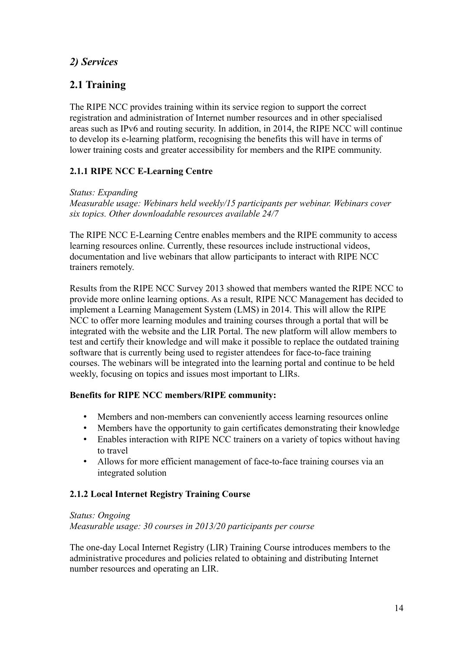# <span id="page-13-1"></span>*2) Services*

# <span id="page-13-0"></span>**2.1 Training**

The RIPE NCC provides training within its service region to support the correct registration and administration of Internet number resources and in other specialised areas such as IPv6 and routing security. In addition, in 2014, the RIPE NCC will continue to develop its e-learning platform, recognising the benefits this will have in terms of lower training costs and greater accessibility for members and the RIPE community.

## <span id="page-13-2"></span>**2.1.1 RIPE NCC E-Learning Centre**

## *Status: Expanding*

*Measurable usage: Webinars held weekly/15 participants per webinar. Webinars cover six topics. Other downloadable resources available 24/7*

The RIPE NCC E-Learning Centre enables members and the RIPE community to access learning resources online. Currently, these resources include instructional videos, documentation and live webinars that allow participants to interact with RIPE NCC trainers remotely.

Results from the RIPE NCC Survey 2013 showed that members wanted the RIPE NCC to provide more online learning options. As a result, RIPE NCC Management has decided to implement a Learning Management System (LMS) in 2014. This will allow the RIPE NCC to offer more learning modules and training courses through a portal that will be integrated with the website and the LIR Portal. The new platform will allow members to test and certify their knowledge and will make it possible to replace the outdated training software that is currently being used to register attendees for face-to-face training courses. The webinars will be integrated into the learning portal and continue to be held weekly, focusing on topics and issues most important to LIRs.

## **Benefits for RIPE NCC members/RIPE community:**

- Members and non-members can conveniently access learning resources online
- Members have the opportunity to gain certificates demonstrating their knowledge
- Enables interaction with RIPE NCC trainers on a variety of topics without having to travel
- Allows for more efficient management of face-to-face training courses via an integrated solution

## **2.1.2 Local Internet Registry Training Course**

*Status: Ongoing Measurable usage: 30 courses in 2013/20 participants per course*

The one-day Local Internet Registry (LIR) Training Course introduces members to the administrative procedures and policies related to obtaining and distributing Internet number resources and operating an LIR.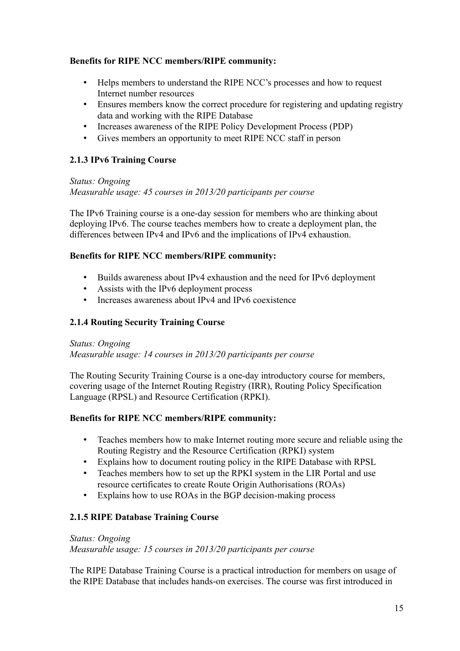### **Benefits for RIPE NCC members/RIPE community:**

- Helps members to understand the RIPE NCC's processes and how to request Internet number resources
- Ensures members know the correct procedure for registering and updating registry data and working with the RIPE Database
- Increases awareness of the RIPE Policy Development Process (PDP)
- Gives members an opportunity to meet RIPE NCC staff in person

## **2.1.3 IPv6 Training Course**

*Status: Ongoing*

*Measurable usage: 45 courses in 2013/20 participants per course*

The IPv6 Training course is a one-day session for members who are thinking about deploying IPv6. The course teaches members how to create a deployment plan, the differences between IPv4 and IPv6 and the implications of IPv4 exhaustion.

## **Benefits for RIPE NCC members/RIPE community:**

- Builds awareness about IPv4 exhaustion and the need for IPv6 deployment
- Assists with the IPv6 deployment process
- Increases awareness about IPv4 and IPv6 coexistence

## **2.1.4 Routing Security Training Course**

#### *Status: Ongoing*

*Measurable usage: 14 courses in 2013/20 participants per course*

The Routing Security Training Course is a one-day introductory course for members, covering usage of the Internet Routing Registry (IRR), Routing Policy Specification Language (RPSL) and Resource Certification (RPKI).

### **Benefits for RIPE NCC members/RIPE community:**

- Teaches members how to make Internet routing more secure and reliable using the Routing Registry and the Resource Certification (RPKI) system
- Explains how to document routing policy in the RIPE Database with RPSL
- Teaches members how to set up the RPKI system in the LIR Portal and use resource certificates to create Route Origin Authorisations (ROAs)
- Explains how to use ROAs in the BGP decision-making process

## **2.1.5 RIPE Database Training Course**

#### *Status: Ongoing*

*Measurable usage: 15 courses in 2013/20 participants per course*

The RIPE Database Training Course is a practical introduction for members on usage of the RIPE Database that includes hands-on exercises. The course was first introduced in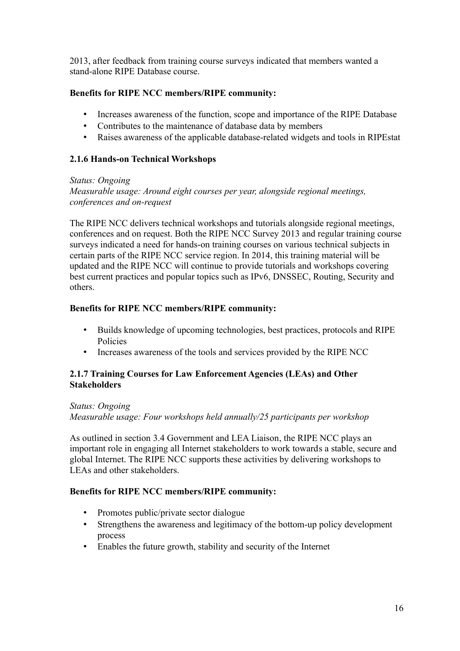2013, after feedback from training course surveys indicated that members wanted a stand-alone RIPE Database course.

### **Benefits for RIPE NCC members/RIPE community:**

- Increases awareness of the function, scope and importance of the RIPE Database
- Contributes to the maintenance of database data by members
- Raises awareness of the applicable database-related widgets and tools in RIPEstat

## **2.1.6 Hands-on Technical Workshops**

#### *Status: Ongoing*

*Measurable usage: Around eight courses per year, alongside regional meetings, conferences and on-request*

The RIPE NCC delivers technical workshops and tutorials alongside regional meetings, conferences and on request. Both the RIPE NCC Survey 2013 and regular training course surveys indicated a need for hands-on training courses on various technical subjects in certain parts of the RIPE NCC service region. In 2014, this training material will be updated and the RIPE NCC will continue to provide tutorials and workshops covering best current practices and popular topics such as IPv6, DNSSEC, Routing, Security and others.

#### **Benefits for RIPE NCC members/RIPE community:**

- Builds knowledge of upcoming technologies, best practices, protocols and RIPE Policies
- Increases awareness of the tools and services provided by the RIPE NCC

#### **2.1.7 Training Courses for Law Enforcement Agencies (LEAs) and Other Stakeholders**

## *Status: Ongoing*

*Measurable usage: Four workshops held annually/25 participants per workshop*

As outlined in section 3.4 Government and LEA Liaison, the RIPE NCC plays an important role in engaging all Internet stakeholders to work towards a stable, secure and global Internet. The RIPE NCC supports these activities by delivering workshops to LEAs and other stakeholders.

- Promotes public/private sector dialogue
- Strengthens the awareness and legitimacy of the bottom-up policy development process
- Enables the future growth, stability and security of the Internet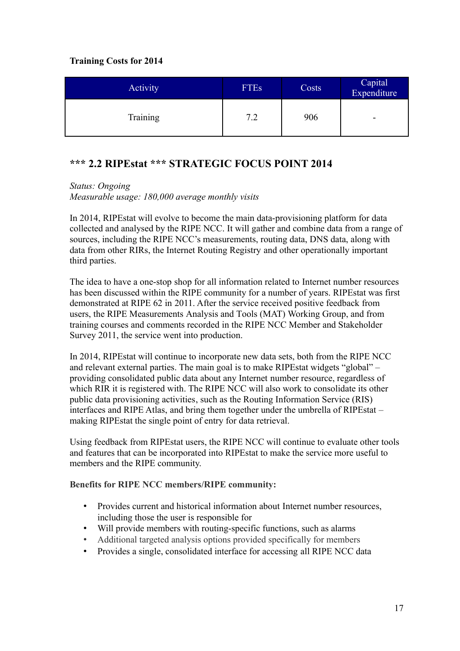## **Training Costs for 2014**

| Activity | <b>FTEs</b> | Costs | Capital<br>Expenditure |
|----------|-------------|-------|------------------------|
| Training | 7.2         | 906   | -                      |

# <span id="page-16-0"></span>**\*\*\* 2.2 RIPEstat \*\*\* STRATEGIC FOCUS POINT 2014**

## *Status: Ongoing*

*Measurable usage: 180,000 average monthly visits*

In 2014, RIPEstat will evolve to become the main data-provisioning platform for data collected and analysed by the RIPE NCC. It will gather and combine data from a range of sources, including the RIPE NCC's measurements, routing data, DNS data, along with data from other RIRs, the Internet Routing Registry and other operationally important third parties.

The idea to have a one-stop shop for all information related to Internet number resources has been discussed within the RIPE community for a number of years. RIPEstat was first demonstrated at RIPE 62 in 2011. After the service received positive feedback from users, the RIPE Measurements Analysis and Tools (MAT) Working Group, and from training courses and comments recorded in the RIPE NCC Member and Stakeholder Survey 2011, the service went into production.

In 2014, RIPEstat will continue to incorporate new data sets, both from the RIPE NCC and relevant external parties. The main goal is to make RIPEstat widgets "global" – providing consolidated public data about any Internet number resource, regardless of which RIR it is registered with. The RIPE NCC will also work to consolidate its other public data provisioning activities, such as the Routing Information Service (RIS) interfaces and RIPE Atlas, and bring them together under the umbrella of RIPEstat – making RIPEstat the single point of entry for data retrieval.

Using feedback from RIPEstat users, the RIPE NCC will continue to evaluate other tools and features that can be incorporated into RIPEstat to make the service more useful to members and the RIPE community.

- Provides current and historical information about Internet number resources, including those the user is responsible for
- Will provide members with routing-specific functions, such as alarms
- Additional targeted analysis options provided specifically for members
- Provides a single, consolidated interface for accessing all RIPE NCC data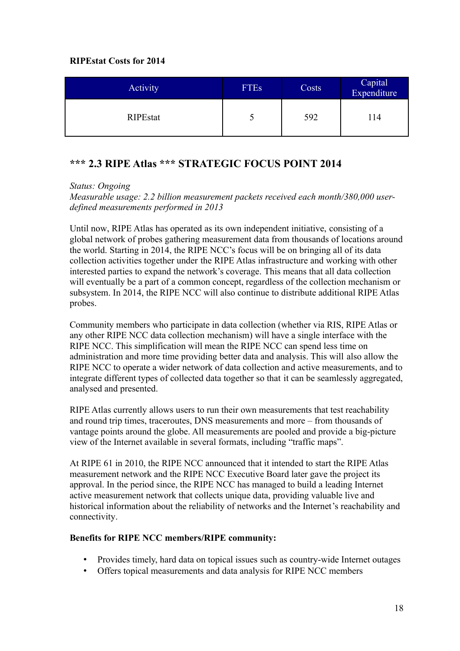### **RIPEstat Costs for 2014**

| Activity        | <b>FTEs</b> | Costs | Capital<br>Expenditure |
|-----------------|-------------|-------|------------------------|
| <b>RIPEstat</b> |             | 592   | .14                    |

# <span id="page-17-0"></span>**\*\*\* 2.3 RIPE Atlas \*\*\* STRATEGIC FOCUS POINT 2014**

*Status: Ongoing*

*Measurable usage: 2.2 billion measurement packets received each month/380,000 userdefined measurements performed in 2013*

Until now, RIPE Atlas has operated as its own independent initiative, consisting of a global network of probes gathering measurement data from thousands of locations around the world. Starting in 2014, the RIPE NCC's focus will be on bringing all of its data collection activities together under the RIPE Atlas infrastructure and working with other interested parties to expand the network's coverage. This means that all data collection will eventually be a part of a common concept, regardless of the collection mechanism or subsystem. In 2014, the RIPE NCC will also continue to distribute additional RIPE Atlas probes.

Community members who participate in data collection (whether via RIS, RIPE Atlas or any other RIPE NCC data collection mechanism) will have a single interface with the RIPE NCC. This simplification will mean the RIPE NCC can spend less time on administration and more time providing better data and analysis. This will also allow the RIPE NCC to operate a wider network of data collection and active measurements, and to integrate different types of collected data together so that it can be seamlessly aggregated, analysed and presented.

RIPE Atlas currently allows users to run their own measurements that test reachability and round trip times, traceroutes, DNS measurements and more – from thousands of vantage points around the globe. All measurements are pooled and provide a big-picture view of the Internet available in several formats, including "traffic maps".

At RIPE 61 in 2010, the RIPE NCC announced that it intended to start the RIPE Atlas measurement network and the RIPE NCC Executive Board later gave the project its approval. In the period since, the RIPE NCC has managed to build a leading Internet active measurement network that collects unique data, providing valuable live and historical information about the reliability of networks and the Internet's reachability and connectivity.

- Provides timely, hard data on topical issues such as country-wide Internet outages
- Offers topical measurements and data analysis for RIPE NCC members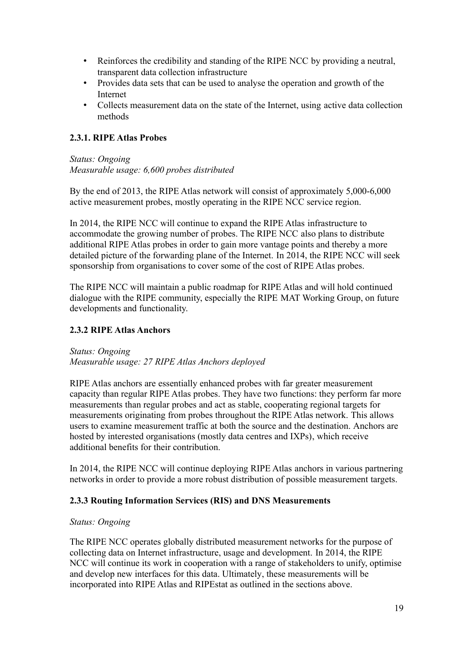- Reinforces the credibility and standing of the RIPE NCC by providing a neutral, transparent data collection infrastructure
- Provides data sets that can be used to analyse the operation and growth of the Internet
- Collects measurement data on the state of the Internet, using active data collection methods

## **2.3.1. RIPE Atlas Probes**

*Status: Ongoing Measurable usage: 6,600 probes distributed*

By the end of 2013, the RIPE Atlas network will consist of approximately 5,000-6,000 active measurement probes, mostly operating in the RIPE NCC service region.

In 2014, the RIPE NCC will continue to expand the RIPE Atlas infrastructure to accommodate the growing number of probes. The RIPE NCC also plans to distribute additional RIPE Atlas probes in order to gain more vantage points and thereby a more detailed picture of the forwarding plane of the Internet. In 2014, the RIPE NCC will seek sponsorship from organisations to cover some of the cost of RIPE Atlas probes.

The RIPE NCC will maintain a public roadmap for RIPE Atlas and will hold continued dialogue with the RIPE community, especially the RIPE MAT Working Group, on future developments and functionality.

## **2.3.2 RIPE Atlas Anchors**

*Status: Ongoing Measurable usage: 27 RIPE Atlas Anchors deployed*

RIPE Atlas anchors are essentially enhanced probes with far greater measurement capacity than regular RIPE Atlas probes. They have two functions: they perform far more measurements than regular probes and act as stable, cooperating regional targets for measurements originating from probes throughout the RIPE Atlas network. This allows users to examine measurement traffic at both the source and the destination. Anchors are hosted by interested organisations (mostly data centres and IXPs), which receive additional benefits for their contribution.

In 2014, the RIPE NCC will continue deploying RIPE Atlas anchors in various partnering networks in order to provide a more robust distribution of possible measurement targets.

## **2.3.3 Routing Information Services (RIS) and DNS Measurements**

#### *Status: Ongoing*

The RIPE NCC operates globally distributed measurement networks for the purpose of collecting data on Internet infrastructure, usage and development. In 2014, the RIPE NCC will continue its work in cooperation with a range of stakeholders to unify, optimise and develop new interfaces for this data. Ultimately, these measurements will be incorporated into RIPE Atlas and RIPEstat as outlined in the sections above.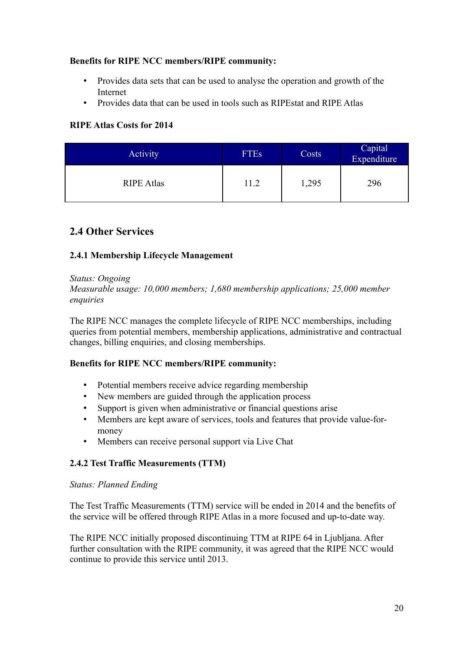#### **Benefits for RIPE NCC members/RIPE community:**

- Provides data sets that can be used to analyse the operation and growth of the Internet
- Provides data that can be used in tools such as RIPEstat and RIPE Atlas

## **RIPE Atlas Costs for 2014**

| <b>Activity</b>   | <b>FTEs</b> | Costs | Capital<br>Expenditure |
|-------------------|-------------|-------|------------------------|
| <b>RIPE Atlas</b> | 11.2        | 1,295 | 296                    |

# <span id="page-19-0"></span>**2.4 Other Services**

## **2.4.1 Membership Lifecycle Management**

#### *Status: Ongoing*

*Measurable usage: 10,000 members; 1,680 membership applications; 25,000 member enquiries*

The RIPE NCC manages the complete lifecycle of RIPE NCC memberships, including queries from potential members, membership applications, administrative and contractual changes, billing enquiries, and closing memberships.

#### **Benefits for RIPE NCC members/RIPE community:**

- Potential members receive advice regarding membership
- New members are guided through the application process
- Support is given when administrative or financial questions arise
- Members are kept aware of services, tools and features that provide value-formoney
- Members can receive personal support via Live Chat

## <span id="page-19-1"></span>**2.4.2 Test Traffic Measurements (TTM)**

#### *Status: Planned Ending*

The Test Traffic Measurements (TTM) service will be ended in 2014 and the benefits of the service will be offered through RIPE Atlas in a more focused and up-to-date way.

The RIPE NCC initially proposed discontinuing TTM at RIPE 64 in Ljubljana. After further consultation with the RIPE community, it was agreed that the RIPE NCC would continue to provide this service until 2013.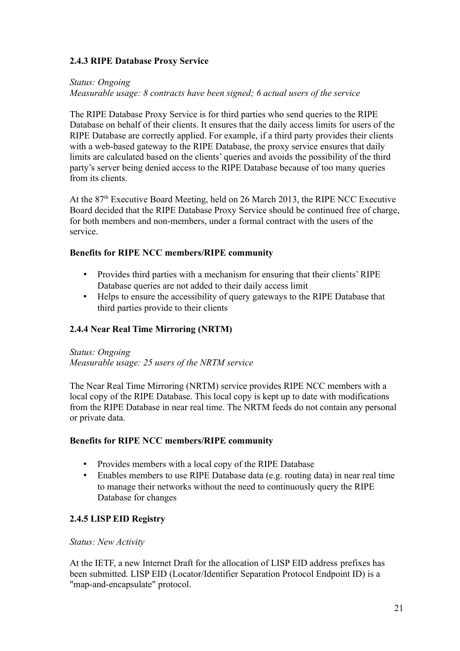### **2.4.3 RIPE Database Proxy Service**

#### *Status: Ongoing*

*Measurable usage: 8 contracts have been signed; 6 actual users of the service*

The RIPE Database Proxy Service is for third parties who send queries to the RIPE Database on behalf of their clients. It ensures that the daily access limits for users of the RIPE Database are correctly applied. For example, if a third party provides their clients with a web-based gateway to the RIPE Database, the proxy service ensures that daily limits are calculated based on the clients' queries and avoids the possibility of the third party's server being denied access to the RIPE Database because of too many queries from its clients.

At the 87<sup>th</sup> Executive Board Meeting, held on 26 March 2013, the RIPE NCC Executive Board decided that the RIPE Database Proxy Service should be continued free of charge, for both members and non-members, under a formal contract with the users of the service.

### **Benefits for RIPE NCC members/RIPE community**

- Provides third parties with a mechanism for ensuring that their clients' RIPE Database queries are not added to their daily access limit
- Helps to ensure the accessibility of query gateways to the RIPE Database that third parties provide to their clients

## **2.4.4 Near Real Time Mirroring (NRTM)**

*Status: Ongoing Measurable usage: 25 users of the NRTM service*

The Near Real Time Mirroring (NRTM) service provides RIPE NCC members with a local copy of the RIPE Database. This local copy is kept up to date with modifications from the RIPE Database in near real time. The NRTM feeds do not contain any personal or private data.

#### **Benefits for RIPE NCC members/RIPE community**

- Provides members with a local copy of the RIPE Database
- Enables members to use RIPE Database data (e.g. routing data) in near real time to manage their networks without the need to continuously query the RIPE Database for changes

#### <span id="page-20-0"></span>**2.4.5 LISP EID Registry**

#### *Status: New Activity*

At the IETF, a new Internet Draft for the allocation of LISP EID address prefixes has been submitted. LISP EID (Locator/Identifier Separation Protocol Endpoint ID) is a "map-and-encapsulate" protocol.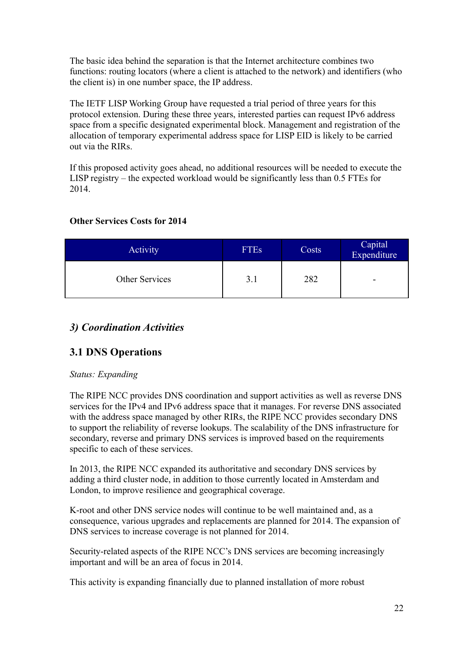The basic idea behind the separation is that the Internet architecture combines two functions: routing locators (where a client is attached to the network) and identifiers (who the client is) in one number space, the IP address.

The IETF LISP Working Group have requested a trial period of three years for this protocol extension. During these three years, interested parties can request IPv6 address space from a specific designated experimental block. Management and registration of the allocation of temporary experimental address space for LISP EID is likely to be carried out via the RIRs.

If this proposed activity goes ahead, no additional resources will be needed to execute the LISP registry – the expected workload would be significantly less than 0.5 FTEs for 2014.

## **Other Services Costs for 2014**

| <b>Activity</b> | <b>FTEs</b> | Costs | Capital<br>Expenditure |
|-----------------|-------------|-------|------------------------|
| Other Services  | 3.1         | 282   | -                      |

# <span id="page-21-1"></span>*3) Coordination Activities*

## <span id="page-21-0"></span>**3.1 DNS Operations**

#### *Status: Expanding*

The RIPE NCC provides DNS coordination and support activities as well as reverse DNS services for the IPv4 and IPv6 address space that it manages. For reverse DNS associated with the address space managed by other RIRs, the RIPE NCC provides secondary DNS to support the reliability of reverse lookups. The scalability of the DNS infrastructure for secondary, reverse and primary DNS services is improved based on the requirements specific to each of these services.

In 2013, the RIPE NCC expanded its authoritative and secondary DNS services by adding a third cluster node, in addition to those currently located in Amsterdam and London, to improve resilience and geographical coverage.

K-root and other DNS service nodes will continue to be well maintained and, as a consequence, various upgrades and replacements are planned for 2014. The expansion of DNS services to increase coverage is not planned for 2014.

Security-related aspects of the RIPE NCC's DNS services are becoming increasingly important and will be an area of focus in 2014.

This activity is expanding financially due to planned installation of more robust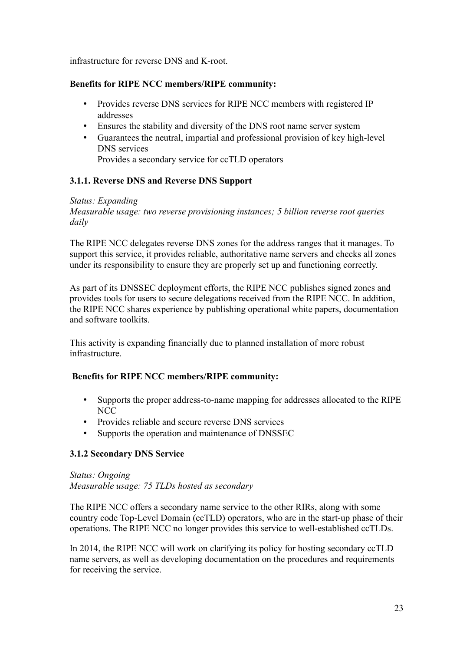infrastructure for reverse DNS and K-root.

### **Benefits for RIPE NCC members/RIPE community:**

- Provides reverse DNS services for RIPE NCC members with registered IP addresses
- Ensures the stability and diversity of the DNS root name server system
- Guarantees the neutral, impartial and professional provision of key high-level DNS services Provides a secondary service for ccTLD operators

## <span id="page-22-0"></span>**3.1.1. Reverse DNS and Reverse DNS Support**

#### *Status: Expanding*

*Measurable usage: two reverse provisioning instances; 5 billion reverse root queries daily*

The RIPE NCC delegates reverse DNS zones for the address ranges that it manages. To support this service, it provides reliable, authoritative name servers and checks all zones under its responsibility to ensure they are properly set up and functioning correctly.

As part of its DNSSEC deployment efforts, the RIPE NCC publishes signed zones and provides tools for users to secure delegations received from the RIPE NCC. In addition, the RIPE NCC shares experience by publishing operational white papers, documentation and software toolkits.

This activity is expanding financially due to planned installation of more robust infrastructure.

#### **Benefits for RIPE NCC members/RIPE community:**

- Supports the proper address-to-name mapping for addresses allocated to the RIPE **NCC**
- Provides reliable and secure reverse DNS services
- Supports the operation and maintenance of DNSSEC

## **3.1.2 Secondary DNS Service**

*Status: Ongoing Measurable usage: 75 TLDs hosted as secondary*

The RIPE NCC offers a secondary name service to the other RIRs, along with some country code Top-Level Domain (ccTLD) operators, who are in the start-up phase of their operations. The RIPE NCC no longer provides this service to well-established ccTLDs.

In 2014, the RIPE NCC will work on clarifying its policy for hosting secondary ccTLD name servers, as well as developing documentation on the procedures and requirements for receiving the service.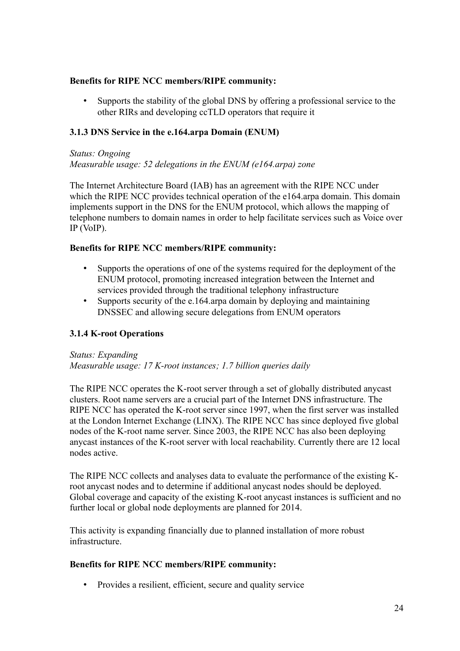#### **Benefits for RIPE NCC members/RIPE community:**

• Supports the stability of the global DNS by offering a professional service to the other RIRs and developing ccTLD operators that require it

### **3.1.3 DNS Service in the e.164.arpa Domain (ENUM)**

*Status: Ongoing Measurable usage: 52 delegations in the ENUM (e164.arpa) zone*

The Internet Architecture Board (IAB) has an agreement with the RIPE NCC under which the RIPE NCC provides technical operation of the e164.arpa domain. This domain implements support in the DNS for the ENUM protocol, which allows the mapping of telephone numbers to domain names in order to help facilitate services such as Voice over IP (VoIP).

#### **Benefits for RIPE NCC members/RIPE community:**

- Supports the operations of one of the systems required for the deployment of the ENUM protocol, promoting increased integration between the Internet and services provided through the traditional telephony infrastructure
- Supports security of the e.164.arpa domain by deploying and maintaining DNSSEC and allowing secure delegations from ENUM operators

#### <span id="page-23-0"></span>**3.1.4 K-root Operations**

*Status: Expanding Measurable usage: 17 K-root instances; 1.7 billion queries daily*

The RIPE NCC operates the K-root server through a set of globally distributed anycast clusters. Root name servers are a crucial part of the Internet DNS infrastructure. The RIPE NCC has operated the K-root server since 1997, when the first server was installed at the London Internet Exchange (LINX). The RIPE NCC has since deployed five global nodes of the K-root name server. Since 2003, the RIPE NCC has also been deploying anycast instances of the K-root server with local reachability. Currently there are 12 local nodes active.

The RIPE NCC collects and analyses data to evaluate the performance of the existing Kroot anycast nodes and to determine if additional anycast nodes should be deployed. Global coverage and capacity of the existing K-root anycast instances is sufficient and no further local or global node deployments are planned for 2014.

This activity is expanding financially due to planned installation of more robust infrastructure.

#### **Benefits for RIPE NCC members/RIPE community:**

• Provides a resilient, efficient, secure and quality service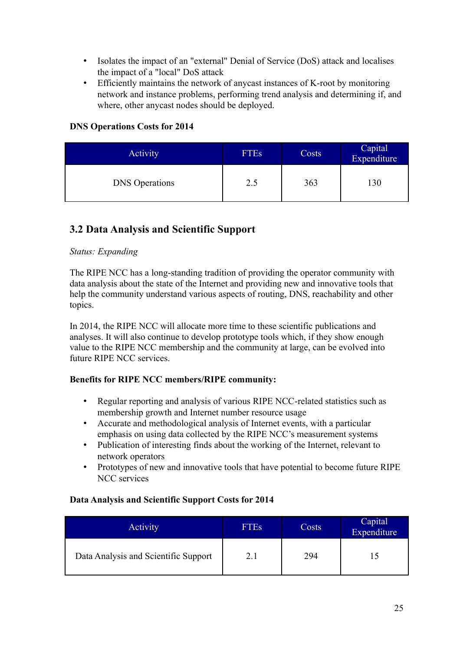- Isolates the impact of an "external" Denial of Service (DoS) attack and localises the impact of a "local" DoS attack
- Efficiently maintains the network of anycast instances of K-root by monitoring network and instance problems, performing trend analysis and determining if, and where, other anycast nodes should be deployed.

## **DNS Operations Costs for 2014**

| <b>Activity</b>       | <b>FTEs</b> | Costs | Capital<br>Expenditure |
|-----------------------|-------------|-------|------------------------|
| <b>DNS</b> Operations | 2.5         | 363   | 130                    |

# <span id="page-24-0"></span>**3.2 Data Analysis and Scientific Support**

#### *Status: Expanding*

The RIPE NCC has a long-standing tradition of providing the operator community with data analysis about the state of the Internet and providing new and innovative tools that help the community understand various aspects of routing, DNS, reachability and other topics.

In 2014, the RIPE NCC will allocate more time to these scientific publications and analyses. It will also continue to develop prototype tools which, if they show enough value to the RIPE NCC membership and the community at large, can be evolved into future RIPE NCC services.

#### **Benefits for RIPE NCC members/RIPE community:**

- Regular reporting and analysis of various RIPE NCC-related statistics such as membership growth and Internet number resource usage
- Accurate and methodological analysis of Internet events, with a particular emphasis on using data collected by the RIPE NCC's measurement systems
- Publication of interesting finds about the working of the Internet, relevant to network operators
- Prototypes of new and innovative tools that have potential to become future RIPE NCC services

#### **Data Analysis and Scientific Support Costs for 2014**

| <b>Activity</b>                      | <b>FTEs</b> | Costs | Capital<br>Expenditure |
|--------------------------------------|-------------|-------|------------------------|
| Data Analysis and Scientific Support | 2.1         | 294   |                        |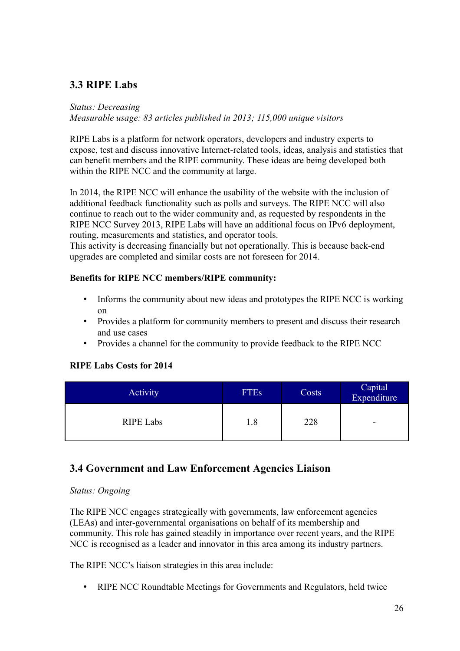# <span id="page-25-1"></span>**3.3 RIPE Labs**

#### *Status: Decreasing*

*Measurable usage: 83 articles published in 2013; 115,000 unique visitors*

RIPE Labs is a platform for network operators, developers and industry experts to expose, test and discuss innovative Internet-related tools, ideas, analysis and statistics that can benefit members and the RIPE community. These ideas are being developed both within the RIPE NCC and the community at large.

In 2014, the RIPE NCC will enhance the usability of the website with the inclusion of additional feedback functionality such as polls and surveys. The RIPE NCC will also continue to reach out to the wider community and, as requested by respondents in the RIPE NCC Survey 2013, RIPE Labs will have an additional focus on IPv6 deployment, routing, measurements and statistics, and operator tools.

This activity is decreasing financially but not operationally. This is because back-end upgrades are completed and similar costs are not foreseen for 2014.

## **Benefits for RIPE NCC members/RIPE community:**

- Informs the community about new ideas and prototypes the RIPE NCC is working on
- Provides a platform for community members to present and discuss their research and use cases
- Provides a channel for the community to provide feedback to the RIPE NCC

#### **RIPE Labs Costs for 2014**

| Activity         | <b>FTEs</b> | Costs | Capital<br>Expenditure |
|------------------|-------------|-------|------------------------|
| <b>RIPE Labs</b> | 1.8         | 228   | -                      |

# <span id="page-25-0"></span>**3.4 Government and Law Enforcement Agencies Liaison**

#### *Status: Ongoing*

The RIPE NCC engages strategically with governments, law enforcement agencies (LEAs) and inter-governmental organisations on behalf of its membership and community. This role has gained steadily in importance over recent years, and the RIPE NCC is recognised as a leader and innovator in this area among its industry partners.

The RIPE NCC's liaison strategies in this area include:

• RIPE NCC Roundtable Meetings for Governments and Regulators, held twice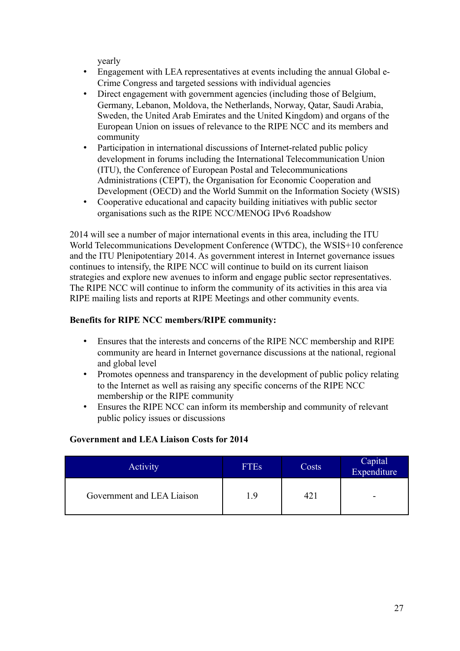yearly

- Engagement with LEA representatives at events including the annual Global e-Crime Congress and targeted sessions with individual agencies
- Direct engagement with government agencies (including those of Belgium, Germany, Lebanon, Moldova, the Netherlands, Norway, Qatar, Saudi Arabia, Sweden, the United Arab Emirates and the United Kingdom) and organs of the European Union on issues of relevance to the RIPE NCC and its members and community
- Participation in international discussions of Internet-related public policy development in forums including the International Telecommunication Union (ITU), the Conference of European Postal and Telecommunications Administrations (CEPT), the Organisation for Economic Cooperation and Development (OECD) and the World Summit on the Information Society (WSIS)
- Cooperative educational and capacity building initiatives with public sector organisations such as the RIPE NCC/MENOG IPv6 Roadshow

2014 will see a number of major international events in this area, including the ITU World Telecommunications Development Conference (WTDC), the WSIS+10 conference and the ITU Plenipotentiary 2014. As government interest in Internet governance issues continues to intensify, the RIPE NCC will continue to build on its current liaison strategies and explore new avenues to inform and engage public sector representatives. The RIPE NCC will continue to inform the community of its activities in this area via RIPE mailing lists and reports at RIPE Meetings and other community events.

## **Benefits for RIPE NCC members/RIPE community:**

- Ensures that the interests and concerns of the RIPE NCC membership and RIPE community are heard in Internet governance discussions at the national, regional and global level
- Promotes openness and transparency in the development of public policy relating to the Internet as well as raising any specific concerns of the RIPE NCC membership or the RIPE community
- Ensures the RIPE NCC can inform its membership and community of relevant public policy issues or discussions

#### **Government and LEA Liaison Costs for 2014**

| Activity                   | <b>FTEs</b> | Costs | Capital<br>Expenditure |
|----------------------------|-------------|-------|------------------------|
| Government and LEA Liaison | 19          |       | -                      |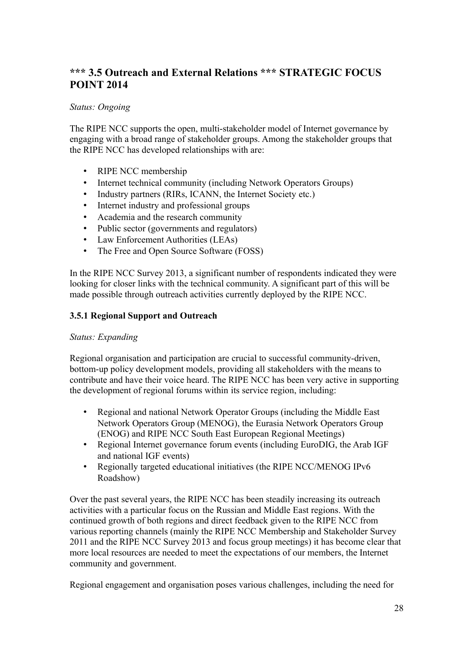# <span id="page-27-0"></span>**\*\*\* 3.5 Outreach and External Relations \*\*\* STRATEGIC FOCUS POINT 2014**

### *Status: Ongoing*

The RIPE NCC supports the open, multi-stakeholder model of Internet governance by engaging with a broad range of stakeholder groups. Among the stakeholder groups that the RIPE NCC has developed relationships with are:

- RIPE NCC membership
- Internet technical community (including Network Operators Groups)
- Industry partners (RIRs, ICANN, the Internet Society etc.)
- Internet industry and professional groups
- Academia and the research community
- Public sector (governments and regulators)
- Law Enforcement Authorities (LEAs)
- The Free and Open Source Software (FOSS)

In the RIPE NCC Survey 2013, a significant number of respondents indicated they were looking for closer links with the technical community. A significant part of this will be made possible through outreach activities currently deployed by the RIPE NCC.

#### <span id="page-27-1"></span>**3.5.1 Regional Support and Outreach**

#### *Status: Expanding*

Regional organisation and participation are crucial to successful community-driven, bottom-up policy development models, providing all stakeholders with the means to contribute and have their voice heard. The RIPE NCC has been very active in supporting the development of regional forums within its service region, including:

- Regional and national Network Operator Groups (including the Middle East Network Operators Group (MENOG), the Eurasia Network Operators Group (ENOG) and RIPE NCC South East European Regional Meetings)
- Regional Internet governance forum events (including EuroDIG, the Arab IGF and national IGF events)
- Regionally targeted educational initiatives (the RIPE NCC/MENOG IPv6 Roadshow)

Over the past several years, the RIPE NCC has been steadily increasing its outreach activities with a particular focus on the Russian and Middle East regions. With the continued growth of both regions and direct feedback given to the RIPE NCC from various reporting channels (mainly the RIPE NCC Membership and Stakeholder Survey 2011 and the RIPE NCC Survey 2013 and focus group meetings) it has become clear that more local resources are needed to meet the expectations of our members, the Internet community and government.

Regional engagement and organisation poses various challenges, including the need for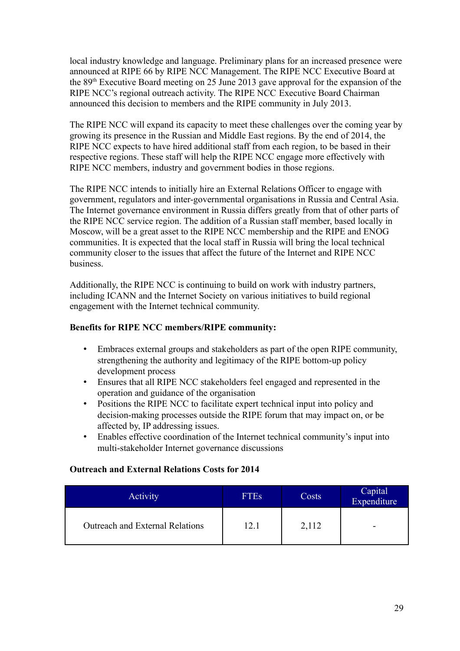local industry knowledge and language. Preliminary plans for an increased presence were announced at RIPE 66 by RIPE NCC Management. The RIPE NCC Executive Board at the 89th Executive Board meeting on 25 June 2013 gave approval for the expansion of the RIPE NCC's regional outreach activity. The RIPE NCC Executive Board Chairman announced this decision to members and the RIPE community in July 2013.

The RIPE NCC will expand its capacity to meet these challenges over the coming year by growing its presence in the Russian and Middle East regions. By the end of 2014, the RIPE NCC expects to have hired additional staff from each region, to be based in their respective regions. These staff will help the RIPE NCC engage more effectively with RIPE NCC members, industry and government bodies in those regions.

The RIPE NCC intends to initially hire an External Relations Officer to engage with government, regulators and inter-governmental organisations in Russia and Central Asia. The Internet governance environment in Russia differs greatly from that of other parts of the RIPE NCC service region. The addition of a Russian staff member, based locally in Moscow, will be a great asset to the RIPE NCC membership and the RIPE and ENOG communities. It is expected that the local staff in Russia will bring the local technical community closer to the issues that affect the future of the Internet and RIPE NCC business.

Additionally, the RIPE NCC is continuing to build on work with industry partners, including ICANN and the Internet Society on various initiatives to build regional engagement with the Internet technical community.

#### **Benefits for RIPE NCC members/RIPE community:**

- Embraces external groups and stakeholders as part of the open RIPE community, strengthening the authority and legitimacy of the RIPE bottom-up policy development process
- Ensures that all RIPE NCC stakeholders feel engaged and represented in the operation and guidance of the organisation
- Positions the RIPE NCC to facilitate expert technical input into policy and decision-making processes outside the RIPE forum that may impact on, or be affected by, IP addressing issues.
- Enables effective coordination of the Internet technical community's input into multi-stakeholder Internet governance discussions

#### **Outreach and External Relations Costs for 2014**

| <b>Activity</b>                        | <b>FTEs</b> | Costs | Capital<br>Expenditure |
|----------------------------------------|-------------|-------|------------------------|
| <b>Outreach and External Relations</b> | 12.1        | 2,112 | -                      |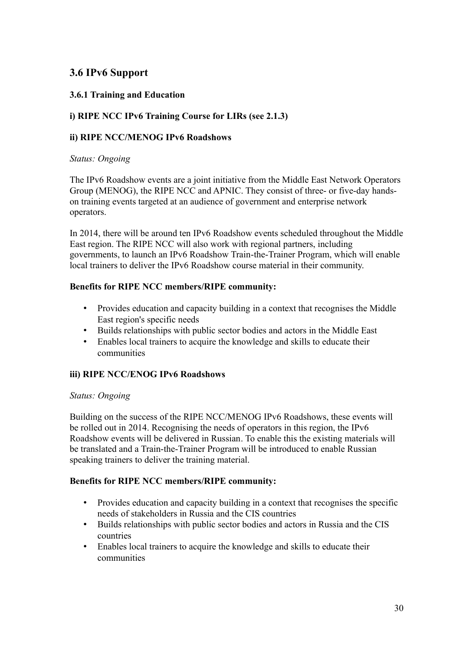# <span id="page-29-0"></span>**3.6 IPv6 Support**

## **3.6.1 Training and Education**

## **i) RIPE NCC IPv6 Training Course for LIRs (see 2.1.3)**

#### **ii) RIPE NCC/MENOG IPv6 Roadshows**

#### *Status: Ongoing*

The IPv6 Roadshow events are a joint initiative from the Middle East Network Operators Group (MENOG), the RIPE NCC and APNIC. They consist of three- or five-day handson training events targeted at an audience of government and enterprise network operators.

In 2014, there will be around ten IPv6 Roadshow events scheduled throughout the Middle East region. The RIPE NCC will also work with regional partners, including governments, to launch an IPv6 Roadshow Train-the-Trainer Program, which will enable local trainers to deliver the IPv6 Roadshow course material in their community.

#### **Benefits for RIPE NCC members/RIPE community:**

- Provides education and capacity building in a context that recognises the Middle East region's specific needs
- Builds relationships with public sector bodies and actors in the Middle East
- Enables local trainers to acquire the knowledge and skills to educate their communities

#### **iii) RIPE NCC/ENOG IPv6 Roadshows**

#### *Status: Ongoing*

Building on the success of the RIPE NCC/MENOG IPv6 Roadshows, these events will be rolled out in 2014. Recognising the needs of operators in this region, the IPv6 Roadshow events will be delivered in Russian. To enable this the existing materials will be translated and a Train-the-Trainer Program will be introduced to enable Russian speaking trainers to deliver the training material.

- Provides education and capacity building in a context that recognises the specific needs of stakeholders in Russia and the CIS countries
- Builds relationships with public sector bodies and actors in Russia and the CIS countries
- Enables local trainers to acquire the knowledge and skills to educate their communities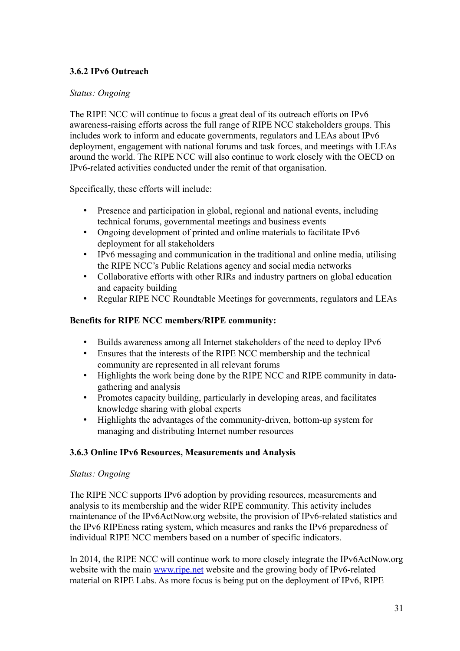## **3.6.2 IPv6 Outreach**

#### *Status: Ongoing*

The RIPE NCC will continue to focus a great deal of its outreach efforts on IPv6 awareness-raising efforts across the full range of RIPE NCC stakeholders groups. This includes work to inform and educate governments, regulators and LEAs about IPv6 deployment, engagement with national forums and task forces, and meetings with LEAs around the world. The RIPE NCC will also continue to work closely with the OECD on IPv6-related activities conducted under the remit of that organisation.

Specifically, these efforts will include:

- Presence and participation in global, regional and national events, including technical forums, governmental meetings and business events
- Ongoing development of printed and online materials to facilitate IPv6 deployment for all stakeholders
- IPv6 messaging and communication in the traditional and online media, utilising the RIPE NCC's Public Relations agency and social media networks
- Collaborative efforts with other RIRs and industry partners on global education and capacity building
- Regular RIPE NCC Roundtable Meetings for governments, regulators and LEAs

### **Benefits for RIPE NCC members/RIPE community:**

- Builds awareness among all Internet stakeholders of the need to deploy IPv6
- Ensures that the interests of the RIPE NCC membership and the technical community are represented in all relevant forums
- Highlights the work being done by the RIPE NCC and RIPE community in datagathering and analysis
- Promotes capacity building, particularly in developing areas, and facilitates knowledge sharing with global experts
- Highlights the advantages of the community-driven, bottom-up system for managing and distributing Internet number resources

#### **3.6.3 Online IPv6 Resources, Measurements and Analysis**

#### *Status: Ongoing*

The RIPE NCC supports IPv6 adoption by providing resources, measurements and analysis to its membership and the wider RIPE community. This activity includes maintenance of the IPv6ActNow.org website, the provision of IPv6-related statistics and the IPv6 RIPEness rating system, which measures and ranks the IPv6 preparedness of individual RIPE NCC members based on a number of specific indicators.

In 2014, the RIPE NCC will continue work to more closely integrate the IPv6ActNow.org website with the main [www.ripe.net](http://www.ripe.net/) website and the growing body of IPv6-related material on RIPE Labs. As more focus is being put on the deployment of IPv6, RIPE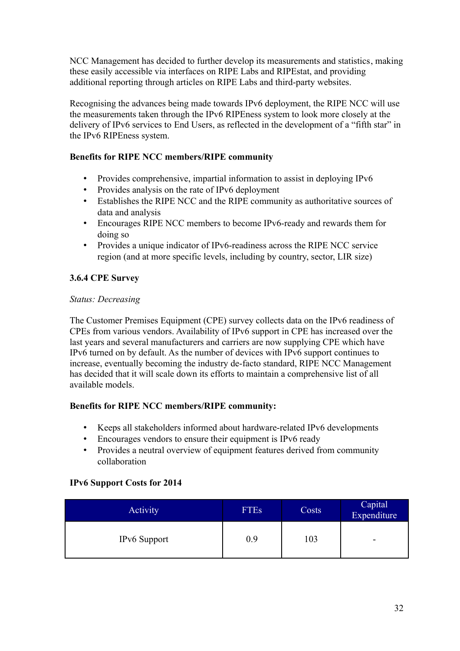NCC Management has decided to further develop its measurements and statistics, making these easily accessible via interfaces on RIPE Labs and RIPEstat, and providing additional reporting through articles on RIPE Labs and third-party websites.

Recognising the advances being made towards IPv6 deployment, the RIPE NCC will use the measurements taken through the IPv6 RIPEness system to look more closely at the delivery of IPv6 services to End Users, as reflected in the development of a "fifth star" in the IPv6 RIPEness system.

## **Benefits for RIPE NCC members/RIPE community**

- Provides comprehensive, impartial information to assist in deploying IPv6
- Provides analysis on the rate of IPv6 deployment
- Establishes the RIPE NCC and the RIPE community as authoritative sources of data and analysis
- Encourages RIPE NCC members to become IPv6-ready and rewards them for doing so
- Provides a unique indicator of IPv6-readiness across the RIPE NCC service region (and at more specific levels, including by country, sector, LIR size)

## <span id="page-31-0"></span>**3.6.4 CPE Survey**

## *Status: Decreasing*

The Customer Premises Equipment (CPE) survey collects data on the IPv6 readiness of CPEs from various vendors. Availability of IPv6 support in CPE has increased over the last years and several manufacturers and carriers are now supplying CPE which have IPv6 turned on by default. As the number of devices with IPv6 support continues to increase, eventually becoming the industry de-facto standard, RIPE NCC Management has decided that it will scale down its efforts to maintain a comprehensive list of all available models.

## **Benefits for RIPE NCC members/RIPE community:**

- Keeps all stakeholders informed about hardware-related IPv6 developments
- Encourages vendors to ensure their equipment is IPv6 ready
- Provides a neutral overview of equipment features derived from community collaboration

#### **IPv6 Support Costs for 2014**

| <b>Activity</b>     | <b>FTEs</b> | Costs | Capital<br>Expenditure |
|---------------------|-------------|-------|------------------------|
| <b>IPv6</b> Support | 0.9         | 03    | -                      |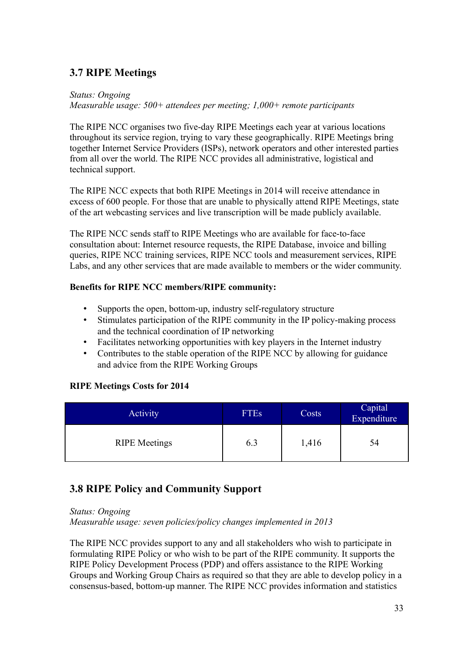# <span id="page-32-1"></span>**3.7 RIPE Meetings**

*Status: Ongoing Measurable usage: 500+ attendees per meeting; 1,000+ remote participants*

The RIPE NCC organises two five-day RIPE Meetings each year at various locations throughout its service region, trying to vary these geographically. RIPE Meetings bring together Internet Service Providers (ISPs), network operators and other interested parties from all over the world. The RIPE NCC provides all administrative, logistical and technical support.

The RIPE NCC expects that both RIPE Meetings in 2014 will receive attendance in excess of 600 people. For those that are unable to physically attend RIPE Meetings, state of the art webcasting services and live transcription will be made publicly available.

The RIPE NCC sends staff to RIPE Meetings who are available for face-to-face consultation about: Internet resource requests, the RIPE Database, invoice and billing queries, RIPE NCC training services, RIPE NCC tools and measurement services, RIPE Labs, and any other services that are made available to members or the wider community.

## **Benefits for RIPE NCC members/RIPE community:**

- Supports the open, bottom-up, industry self-regulatory structure
- Stimulates participation of the RIPE community in the IP policy-making process and the technical coordination of IP networking
- Facilitates networking opportunities with key players in the Internet industry
- Contributes to the stable operation of the RIPE NCC by allowing for guidance and advice from the RIPE Working Groups

#### **RIPE Meetings Costs for 2014**

| <b>Activity</b>      | <b>FTEs</b> | Costs | Capital<br>Expenditure |
|----------------------|-------------|-------|------------------------|
| <b>RIPE</b> Meetings | 6.3         | 1,416 | 54                     |

# <span id="page-32-0"></span>**3.8 RIPE Policy and Community Support**

*Status: Ongoing Measurable usage: seven policies/policy changes implemented in 2013*

The RIPE NCC provides support to any and all stakeholders who wish to participate in formulating RIPE Policy or who wish to be part of the RIPE community. It supports the RIPE Policy Development Process (PDP) and offers assistance to the RIPE Working Groups and Working Group Chairs as required so that they are able to develop policy in a consensus-based, bottom-up manner. The RIPE NCC provides information and statistics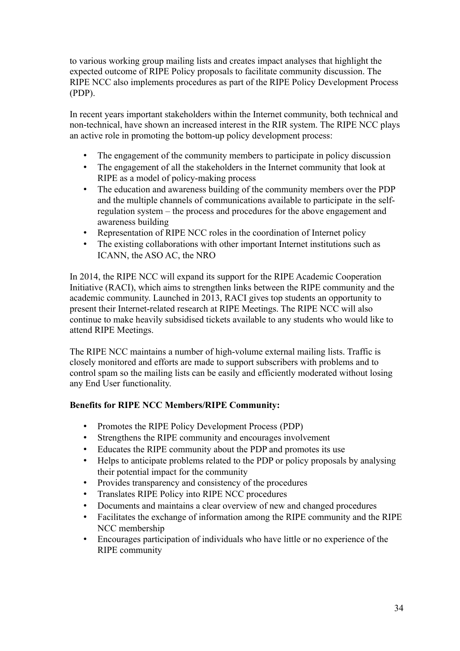to various working group mailing lists and creates impact analyses that highlight the expected outcome of RIPE Policy proposals to facilitate community discussion. The RIPE NCC also implements procedures as part of the RIPE Policy Development Process (PDP).

In recent years important stakeholders within the Internet community, both technical and non-technical, have shown an increased interest in the RIR system. The RIPE NCC plays an active role in promoting the bottom-up policy development process:

- The engagement of the community members to participate in policy discussion
- The engagement of all the stakeholders in the Internet community that look at RIPE as a model of policy-making process
- The education and awareness building of the community members over the PDP and the multiple channels of communications available to participate in the selfregulation system – the process and procedures for the above engagement and awareness building
- Representation of RIPE NCC roles in the coordination of Internet policy
- The existing collaborations with other important Internet institutions such as ICANN, the ASO AC, the NRO

In 2014, the RIPE NCC will expand its support for the RIPE Academic Cooperation Initiative (RACI), which aims to strengthen links between the RIPE community and the academic community. Launched in 2013, RACI gives top students an opportunity to present their Internet-related research at RIPE Meetings. The RIPE NCC will also continue to make heavily subsidised tickets available to any students who would like to attend RIPE Meetings.

The RIPE NCC maintains a number of high-volume external mailing lists. Traffic is closely monitored and efforts are made to support subscribers with problems and to control spam so the mailing lists can be easily and efficiently moderated without losing any End User functionality.

- Promotes the RIPE Policy Development Process (PDP)
- Strengthens the RIPE community and encourages involvement
- Educates the RIPE community about the PDP and promotes its use
- Helps to anticipate problems related to the PDP or policy proposals by analysing their potential impact for the community
- Provides transparency and consistency of the procedures
- Translates RIPE Policy into RIPE NCC procedures
- Documents and maintains a clear overview of new and changed procedures
- Facilitates the exchange of information among the RIPE community and the RIPE NCC membership
- Encourages participation of individuals who have little or no experience of the RIPE community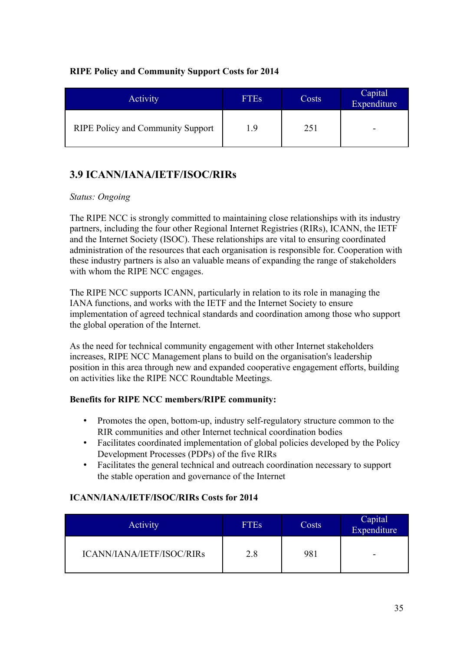## **RIPE Policy and Community Support Costs for 2014**

| Activity                                 | <b>FTEs</b> | Costs | Capital<br>Expenditure |
|------------------------------------------|-------------|-------|------------------------|
| <b>RIPE Policy and Community Support</b> | 19          | 251   | -                      |

# <span id="page-34-0"></span>**3.9 ICANN/IANA/IETF/ISOC/RIRs**

#### *Status: Ongoing*

The RIPE NCC is strongly committed to maintaining close relationships with its industry partners, including the four other Regional Internet Registries (RIRs), ICANN, the IETF and the Internet Society (ISOC). These relationships are vital to ensuring coordinated administration of the resources that each organisation is responsible for. Cooperation with these industry partners is also an valuable means of expanding the range of stakeholders with whom the RIPE NCC engages.

The RIPE NCC supports ICANN, particularly in relation to its role in managing the IANA functions, and works with the IETF and the Internet Society to ensure implementation of agreed technical standards and coordination among those who support the global operation of the Internet.

As the need for technical community engagement with other Internet stakeholders increases, RIPE NCC Management plans to build on the organisation's leadership position in this area through new and expanded cooperative engagement efforts, building on activities like the RIPE NCC Roundtable Meetings.

## **Benefits for RIPE NCC members/RIPE community:**

- Promotes the open, bottom-up, industry self-regulatory structure common to the RIR communities and other Internet technical coordination bodies
- Facilitates coordinated implementation of global policies developed by the Policy Development Processes (PDPs) of the five RIRs
- Facilitates the general technical and outreach coordination necessary to support the stable operation and governance of the Internet

## **ICANN/IANA/IETF/ISOC/RIRs Costs for 2014**

| Activity                  | <b>FTEs</b> | Costs | Capital<br>Expenditure |
|---------------------------|-------------|-------|------------------------|
| ICANN/IANA/IETF/ISOC/RIRs | 2.8         | 981   | -                      |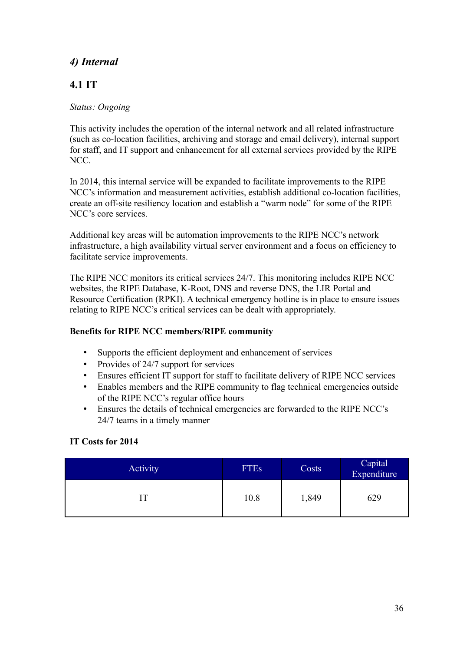# <span id="page-35-1"></span>*4) Internal*

# <span id="page-35-0"></span>**4.1 IT**

## *Status: Ongoing*

This activity includes the operation of the internal network and all related infrastructure (such as co-location facilities, archiving and storage and email delivery), internal support for staff, and IT support and enhancement for all external services provided by the RIPE NCC.

In 2014, this internal service will be expanded to facilitate improvements to the RIPE NCC's information and measurement activities, establish additional co-location facilities, create an off-site resiliency location and establish a "warm node" for some of the RIPE NCC's core services.

Additional key areas will be automation improvements to the RIPE NCC's network infrastructure, a high availability virtual server environment and a focus on efficiency to facilitate service improvements.

The RIPE NCC monitors its critical services 24/7. This monitoring includes RIPE NCC websites, the RIPE Database, K-Root, DNS and reverse DNS, the LIR Portal and Resource Certification (RPKI). A technical emergency hotline is in place to ensure issues relating to RIPE NCC's critical services can be dealt with appropriately.

## **Benefits for RIPE NCC members/RIPE community**

- Supports the efficient deployment and enhancement of services
- Provides of 24/7 support for services
- Ensures efficient IT support for staff to facilitate delivery of RIPE NCC services
- Enables members and the RIPE community to flag technical emergencies outside of the RIPE NCC's regular office hours
- Ensures the details of technical emergencies are forwarded to the RIPE NCC's 24/7 teams in a timely manner

## **IT Costs for 2014**

| Activity | <b>FTEs</b> | Costs | Capital<br>Expenditure |
|----------|-------------|-------|------------------------|
|          | 10.8        | 1,849 | 629                    |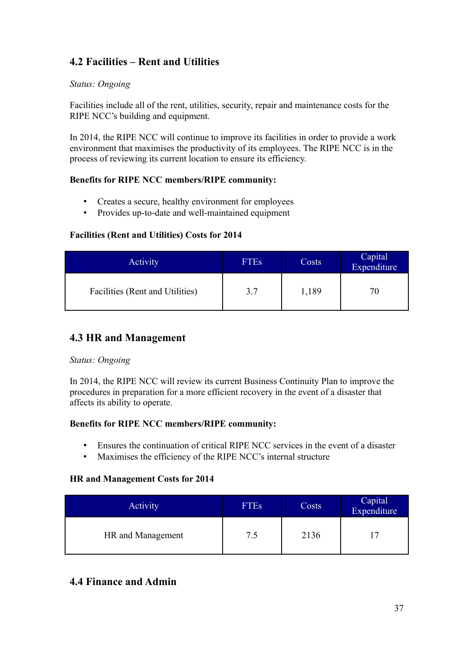# <span id="page-36-2"></span>**4.2 Facilities – Rent and Utilities**

### *Status: Ongoing*

Facilities include all of the rent, utilities, security, repair and maintenance costs for the RIPE NCC's building and equipment.

In 2014, the RIPE NCC will continue to improve its facilities in order to provide a work environment that maximises the productivity of its employees. The RIPE NCC is in the process of reviewing its current location to ensure its efficiency.

#### **Benefits for RIPE NCC members/RIPE community:**

- Creates a secure, healthy environment for employees
- Provides up-to-date and well-maintained equipment

#### **Facilities (Rent and Utilities) Costs for 2014**

| Activity                        | <b>FTEs</b> | Costs | Capital<br>Expenditure |
|---------------------------------|-------------|-------|------------------------|
| Facilities (Rent and Utilities) | 3.7         | 1,189 | $\prime$               |

## <span id="page-36-1"></span>**4.3 HR and Management**

#### *Status: Ongoing*

In 2014, the RIPE NCC will review its current Business Continuity Plan to improve the procedures in preparation for a more efficient recovery in the event of a disaster that affects its ability to operate.

#### **Benefits for RIPE NCC members/RIPE community:**

- Ensures the continuation of critical RIPE NCC services in the event of a disaster
- Maximises the efficiency of the RIPE NCC's internal structure

#### **HR and Management Costs for 2014**

| <b>Activity</b>   | <b>FTEs</b> | Costs | Capital<br>Expenditure |
|-------------------|-------------|-------|------------------------|
| HR and Management | 7.5         | 2136  | 7،                     |

# <span id="page-36-0"></span>**4.4 Finance and Admin**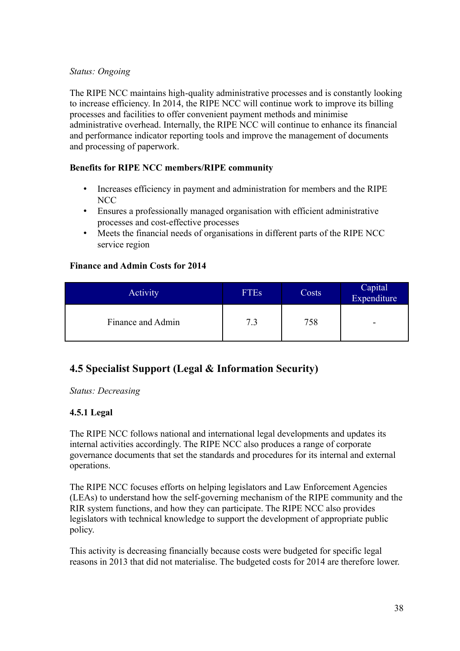#### *Status: Ongoing*

The RIPE NCC maintains high-quality administrative processes and is constantly looking to increase efficiency. In 2014, the RIPE NCC will continue work to improve its billing processes and facilities to offer convenient payment methods and minimise administrative overhead. Internally, the RIPE NCC will continue to enhance its financial and performance indicator reporting tools and improve the management of documents and processing of paperwork.

#### **Benefits for RIPE NCC members/RIPE community**

- Increases efficiency in payment and administration for members and the RIPE NCC
- Ensures a professionally managed organisation with efficient administrative processes and cost-effective processes
- Meets the financial needs of organisations in different parts of the RIPE NCC service region

#### **Finance and Admin Costs for 2014**

| <b>Activity</b>   | <b>FTEs</b> | Costs | Capital<br>Expenditure |
|-------------------|-------------|-------|------------------------|
| Finance and Admin | 7.3         | 758   | -                      |

# <span id="page-37-0"></span>**4.5 Specialist Support (Legal & Information Security)**

*Status: Decreasing*

#### **4.5.1 Legal**

The RIPE NCC follows national and international legal developments and updates its internal activities accordingly. The RIPE NCC also produces a range of corporate governance documents that set the standards and procedures for its internal and external operations.

The RIPE NCC focuses efforts on helping legislators and Law Enforcement Agencies (LEAs) to understand how the self-governing mechanism of the RIPE community and the RIR system functions, and how they can participate. The RIPE NCC also provides legislators with technical knowledge to support the development of appropriate public policy.

This activity is decreasing financially because costs were budgeted for specific legal reasons in 2013 that did not materialise. The budgeted costs for 2014 are therefore lower.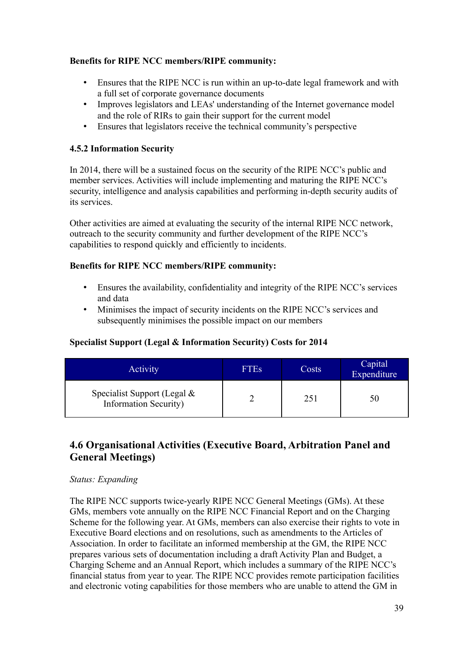### **Benefits for RIPE NCC members/RIPE community:**

- Ensures that the RIPE NCC is run within an up-to-date legal framework and with a full set of corporate governance documents
- Improves legislators and LEAs' understanding of the Internet governance model and the role of RIRs to gain their support for the current model
- Ensures that legislators receive the technical community's perspective

## **4.5.2 Information Security**

In 2014, there will be a sustained focus on the security of the RIPE NCC's public and member services. Activities will include implementing and maturing the RIPE NCC's security, intelligence and analysis capabilities and performing in-depth security audits of its services.

Other activities are aimed at evaluating the security of the internal RIPE NCC network, outreach to the security community and further development of the RIPE NCC's capabilities to respond quickly and efficiently to incidents.

## **Benefits for RIPE NCC members/RIPE community:**

- Ensures the availability, confidentiality and integrity of the RIPE NCC's services and data
- Minimises the impact of security incidents on the RIPE NCC's services and subsequently minimises the possible impact on our members

## **Specialist Support (Legal & Information Security) Costs for 2014**

| <b>Activity</b>                                                | <b>FTEs</b> | Costs | Capital<br>Expenditure |
|----------------------------------------------------------------|-------------|-------|------------------------|
| Specialist Support (Legal $\&$<br><b>Information Security)</b> |             | 251   | 71                     |

# <span id="page-38-0"></span>**4.6 Organisational Activities (Executive Board, Arbitration Panel and General Meetings)**

#### *Status: Expanding*

The RIPE NCC supports twice-yearly RIPE NCC General Meetings (GMs). At these GMs, members vote annually on the RIPE NCC Financial Report and on the Charging Scheme for the following year. At GMs, members can also exercise their rights to vote in Executive Board elections and on resolutions, such as amendments to the Articles of Association. In order to facilitate an informed membership at the GM, the RIPE NCC prepares various sets of documentation including a draft Activity Plan and Budget, a Charging Scheme and an Annual Report, which includes a summary of the RIPE NCC's financial status from year to year. The RIPE NCC provides remote participation facilities and electronic voting capabilities for those members who are unable to attend the GM in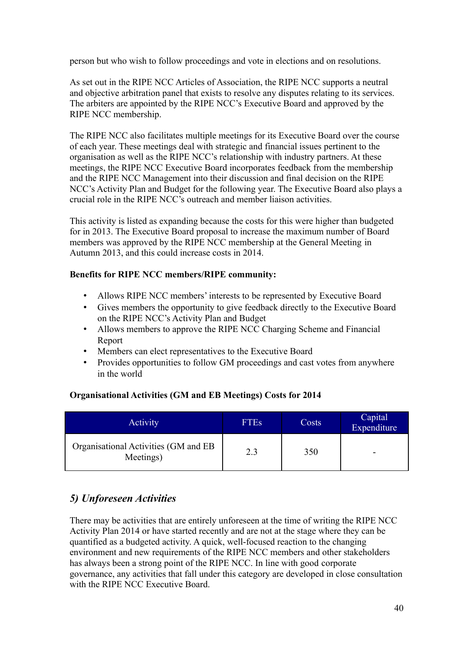person but who wish to follow proceedings and vote in elections and on resolutions.

As set out in the RIPE NCC Articles of Association, the RIPE NCC supports a neutral and objective arbitration panel that exists to resolve any disputes relating to its services. The arbiters are appointed by the RIPE NCC's Executive Board and approved by the RIPE NCC membership.

The RIPE NCC also facilitates multiple meetings for its Executive Board over the course of each year. These meetings deal with strategic and financial issues pertinent to the organisation as well as the RIPE NCC's relationship with industry partners. At these meetings, the RIPE NCC Executive Board incorporates feedback from the membership and the RIPE NCC Management into their discussion and final decision on the RIPE NCC's Activity Plan and Budget for the following year. The Executive Board also plays a crucial role in the RIPE NCC's outreach and member liaison activities.

This activity is listed as expanding because the costs for this were higher than budgeted for in 2013. The Executive Board proposal to increase the maximum number of Board members was approved by the RIPE NCC membership at the General Meeting in Autumn 2013, and this could increase costs in 2014.

#### **Benefits for RIPE NCC members/RIPE community:**

- Allows RIPE NCC members' interests to be represented by Executive Board
- Gives members the opportunity to give feedback directly to the Executive Board on the RIPE NCC's Activity Plan and Budget
- Allows members to approve the RIPE NCC Charging Scheme and Financial Report
- Members can elect representatives to the Executive Board
- Provides opportunities to follow GM proceedings and cast votes from anywhere in the world

## **Organisational Activities (GM and EB Meetings) Costs for 2014**

| Activity                                          | <b>FTEs</b> | Costs | Capital<br>Expenditure |
|---------------------------------------------------|-------------|-------|------------------------|
| Organisational Activities (GM and EB<br>Meetings) | 2.3         | 350   |                        |

# *5) Unforeseen Activities*

There may be activities that are entirely unforeseen at the time of writing the RIPE NCC Activity Plan 2014 or have started recently and are not at the stage where they can be quantified as a budgeted activity. A quick, well-focused reaction to the changing environment and new requirements of the RIPE NCC members and other stakeholders has always been a strong point of the RIPE NCC. In line with good corporate governance, any activities that fall under this category are developed in close consultation with the RIPE NCC Executive Board.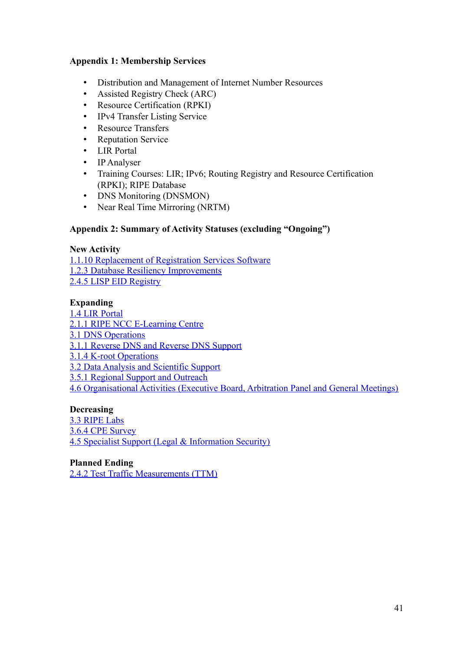#### **Appendix 1: Membership Services**

- Distribution and Management of Internet Number Resources
- Assisted Registry Check (ARC)
- Resource Certification (RPKI)
- IPv4 Transfer Listing Service
- Resource Transfers
- Reputation Service
- **LIR** Portal
- IP Analyser
- Training Courses: LIR; IPv6; Routing Registry and Resource Certification (RPKI); RIPE Database
- DNS Monitoring (DNSMON)
- Near Real Time Mirroring (NRTM)

#### **Appendix 2: Summary of Activity Statuses (excluding "Ongoing")**

#### **New Activity**

[1.1.10 Replacement of Registration Services Software](#page-8-0) [1.2.3 Database Resiliency Improvements](#page-10-0) [2.4.5 LISP EID Registry](#page-20-0)

#### **Expanding**

- [1.4 LIR Portal](#page-12-0) [2.1.1 RIPE NCC E-Learning Centre](#page-13-2) [3.1 DNS Operations](#page-21-0) [3.1.1 Reverse DNS and Reverse DNS Support](#page-22-0) [3.1.4 K-root Operations](#page-23-0) [3.2 Data Analysis and Scientific Support](#page-24-0)
- [3.5.1 Regional Support and Outreach](#page-27-1)

[4.6 Organisational Activities \(Executive Board, Arbitration Panel and General Meetings\)](#page-38-0)

#### **Decreasing**

[3.3 RIPE Labs](#page-25-1) [3.6.4 CPE Survey](#page-31-0) [4.5 Specialist Support \(Legal & Information Security\)](#page-37-0)

### **Planned Ending**

[2.4.2 Test Traffic Measurements \(TTM\)](#page-19-1)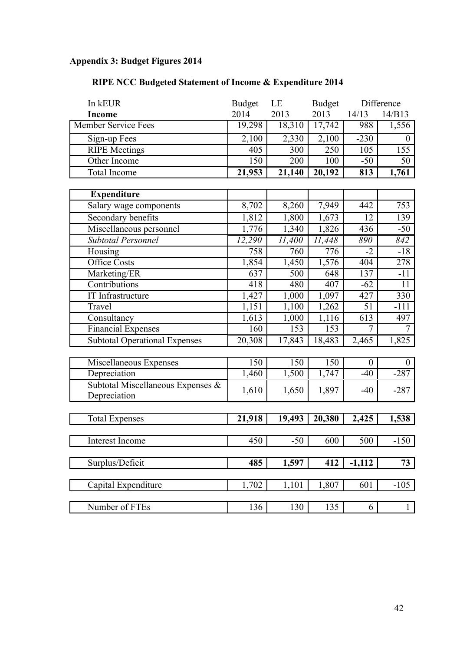# **Appendix 3: Budget Figures 2014**

# **RIPE NCC Budgeted Statement of Income & Expenditure 2014**

| In kEUR                                           | <b>Budget</b> | LE     | <b>Budget</b> |                | Difference       |
|---------------------------------------------------|---------------|--------|---------------|----------------|------------------|
| <b>Income</b>                                     | 2014          | 2013   | 2013          | 14/13          | 14/B13           |
| Member Service Fees                               | 19,298        | 18,310 | 17,742        | 988            | 1,556            |
| Sign-up Fees                                      | 2,100         | 2,330  | 2,100         | $-230$         | $\Omega$         |
| <b>RIPE Meetings</b>                              | 405           | 300    | 250           | 105            | 155              |
| Other Income                                      | 150           | 200    | 100           | $-50$          | 50               |
| <b>Total Income</b>                               | 21,953        | 21,140 | 20,192        | 813            | 1,761            |
|                                                   |               |        |               |                |                  |
| <b>Expenditure</b>                                |               |        |               |                |                  |
| Salary wage components                            | 8,702         | 8,260  | 7,949         | 442            | 753              |
| Secondary benefits                                | 1,812         | 1,800  | 1,673         | 12             | 139              |
| Miscellaneous personnel                           | 1,776         | 1,340  | 1,826         | 436            | $-50$            |
| Subtotal Personnel                                | 12,290        | 11,400 | 11,448        | 890            | 842              |
| Housing                                           | 758           | 760    | 776           | $-2$           | $-18$            |
| <b>Office Costs</b>                               | 1,854         | 1,450  | 1,576         | 404            | 278              |
| Marketing/ER                                      | 637           | 500    | 648           | 137            | $-11$            |
| Contributions                                     | 418           | 480    | 407           | $-62$          | 11               |
| IT Infrastructure                                 | 1,427         | 1,000  | 1,097         | 427            | 330              |
| Travel                                            | 1,151         | 1,100  | 1,262         | 51             | $-111$           |
| Consultancy                                       | 1,613         | 1,000  | 1,116         | 613            | 497              |
| Financial Expenses                                | 160           | 153    | 153           | $\overline{7}$ | $\overline{7}$   |
| <b>Subtotal Operational Expenses</b>              | 20,308        | 17,843 | 18,483        | 2,465          | 1,825            |
|                                                   |               |        |               |                |                  |
| Miscellaneous Expenses                            | 150           | 150    | 150           | $\overline{0}$ | $\boldsymbol{0}$ |
| Depreciation                                      | 1,460         | 1,500  | 1,747         | $-40$          | $-287$           |
| Subtotal Miscellaneous Expenses &<br>Depreciation | 1,610         | 1,650  | 1,897         | $-40$          | $-287$           |
|                                                   |               |        |               |                |                  |
| <b>Total Expenses</b>                             | 21,918        | 19,493 | 20,380        | 2,425          | 1,538            |
|                                                   |               |        |               |                |                  |
| Interest Income                                   | 450           | $-50$  | 600           | 500            | $-150$           |
|                                                   |               |        |               |                |                  |
| Surplus/Deficit                                   | 485           | 1,597  | 412           | $-1,112$       | 73               |
| Capital Expenditure                               | 1,702         | 1,101  | 1,807         | 601            | $-105$           |
|                                                   |               |        |               |                |                  |
| Number of FTEs                                    | 136           | 130    | 135           | 6              | 1                |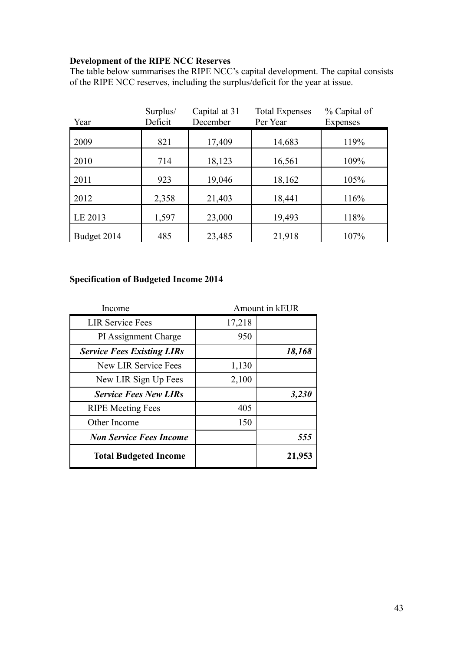## **Development of the RIPE NCC Reserves**

The table below summarises the RIPE NCC's capital development. The capital consists of the RIPE NCC reserves, including the surplus/deficit for the year at issue.

| Year        | Surplus/<br>Deficit | Capital at 31<br>December | <b>Total Expenses</b><br>Per Year | % Capital of<br><b>Expenses</b> |
|-------------|---------------------|---------------------------|-----------------------------------|---------------------------------|
| 2009        | 821                 | 17,409                    | 14,683                            | 119%                            |
| 2010        | 714                 | 18,123                    | 16,561                            | 109%                            |
| 2011        | 923                 | 19,046                    | 18,162                            | 105%                            |
| 2012        | 2,358               | 21,403                    | 18,441                            | 116%                            |
| LE 2013     | 1,597               | 23,000                    | 19,493                            | 118%                            |
| Budget 2014 | 485                 | 23,485                    | 21,918                            | 107%                            |

# **Specification of Budgeted Income 2014**

| Income                            | Amount in kEUR |        |
|-----------------------------------|----------------|--------|
| <b>LIR Service Fees</b>           | 17,218         |        |
| PI Assignment Charge              | 950            |        |
| <b>Service Fees Existing LIRs</b> |                | 18,168 |
| <b>New LIR Service Fees</b>       | 1,130          |        |
| New LIR Sign Up Fees              | 2,100          |        |
| <b>Service Fees New LIRs</b>      |                | 3,230  |
| <b>RIPE Meeting Fees</b>          | 405            |        |
| Other Income                      | 150            |        |
| <b>Non Service Fees Income</b>    |                | 555    |
| <b>Total Budgeted Income</b>      |                | 21,953 |